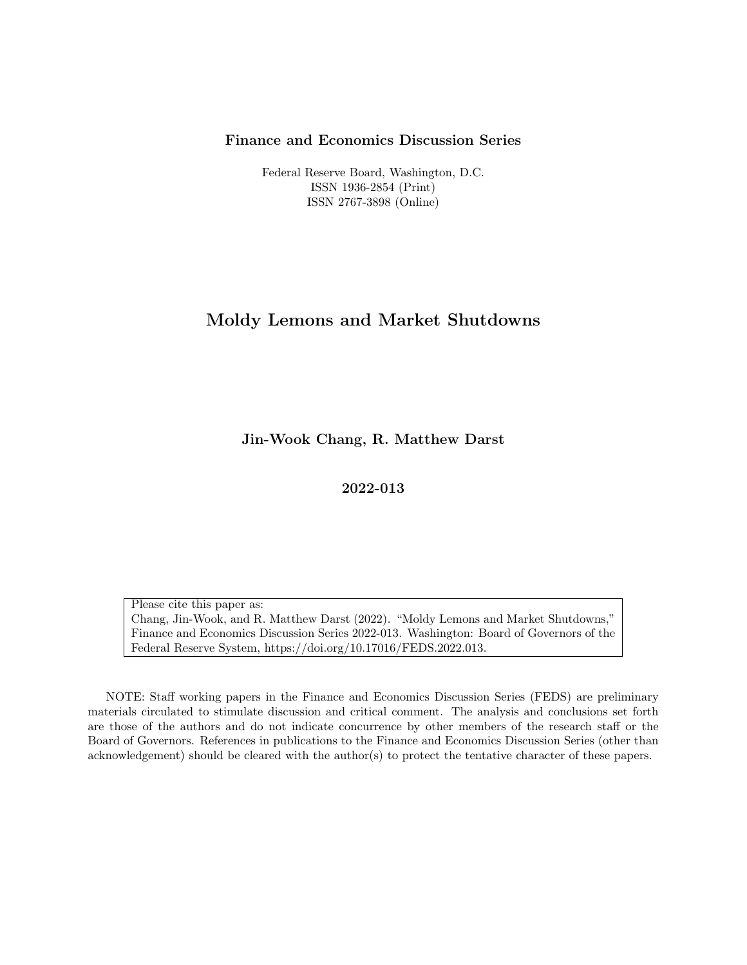#### Finance and Economics Discussion Series

Federal Reserve Board, Washington, D.C. ISSN 1936-2854 (Print) ISSN 2767-3898 (Online)

### Moldy Lemons and Market Shutdowns

Jin-Wook Chang, R. Matthew Darst

2022-013

Please cite this paper as: Chang, Jin-Wook, and R. Matthew Darst (2022). "Moldy Lemons and Market Shutdowns," Finance and Economics Discussion Series 2022-013. Washington: Board of Governors of the Federal Reserve System, https://doi.org/10.17016/FEDS.2022.013.

NOTE: Staff working papers in the Finance and Economics Discussion Series (FEDS) are preliminary materials circulated to stimulate discussion and critical comment. The analysis and conclusions set forth are those of the authors and do not indicate concurrence by other members of the research staff or the Board of Governors. References in publications to the Finance and Economics Discussion Series (other than acknowledgement) should be cleared with the author(s) to protect the tentative character of these papers.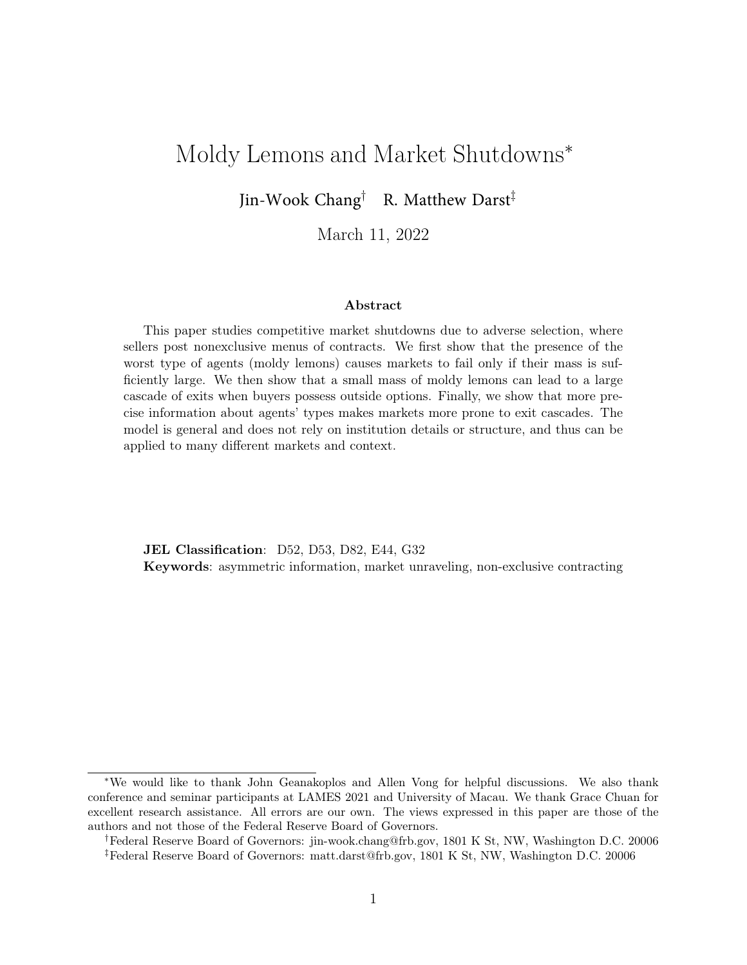# Moldy Lemons and Market Shutdowns<sup>∗</sup>

Jin-Wook Chang† R. Matthew Darst‡

March 11, 2022

#### Abstract

This paper studies competitive market shutdowns due to adverse selection, where sellers post nonexclusive menus of contracts. We first show that the presence of the worst type of agents (moldy lemons) causes markets to fail only if their mass is sufficiently large. We then show that a small mass of moldy lemons can lead to a large cascade of exits when buyers possess outside options. Finally, we show that more precise information about agents' types makes markets more prone to exit cascades. The model is general and does not rely on institution details or structure, and thus can be applied to many different markets and context.

JEL Classification: D52, D53, D82, E44, G32 Keywords: asymmetric information, market unraveling, non-exclusive contracting

<sup>∗</sup>We would like to thank John Geanakoplos and Allen Vong for helpful discussions. We also thank conference and seminar participants at LAMES 2021 and University of Macau. We thank Grace Chuan for excellent research assistance. All errors are our own. The views expressed in this paper are those of the authors and not those of the Federal Reserve Board of Governors.

<sup>†</sup>Federal Reserve Board of Governors: jin-wook.chang@frb.gov, 1801 K St, NW, Washington D.C. 20006 ‡Federal Reserve Board of Governors: matt.darst@frb.gov, 1801 K St, NW, Washington D.C. 20006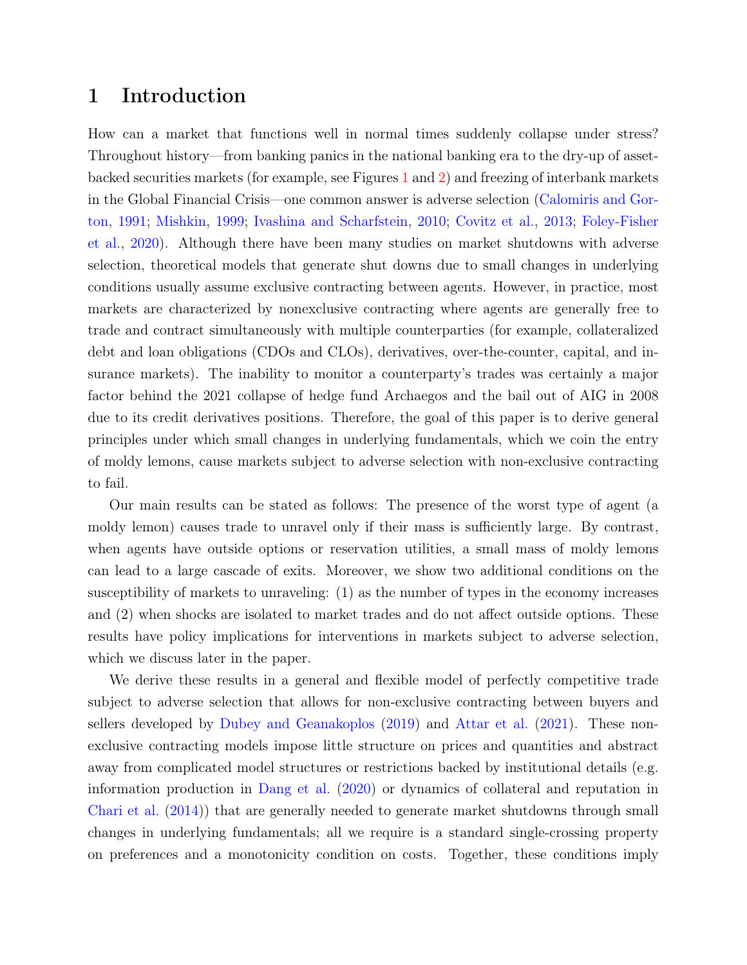## 1 Introduction

How can a market that functions well in normal times suddenly collapse under stress? Throughout history—from banking panics in the national banking era to the dry-up of assetbacked securities markets (for example, see Figures [1](#page-4-0) and [2\)](#page-4-0) and freezing of interbank markets in the Global Financial Crisis—one common answer is adverse selection [\(Calomiris and Gor](#page-34-0)[ton,](#page-34-0) [1991;](#page-34-0) [Mishkin,](#page-36-0) [1999;](#page-36-0) [Ivashina and Scharfstein,](#page-35-0) [2010;](#page-35-0) [Covitz et al.,](#page-34-1) [2013;](#page-34-1) [Foley-Fisher](#page-35-1) [et al.,](#page-35-1) [2020\)](#page-35-1). Although there have been many studies on market shutdowns with adverse selection, theoretical models that generate shut downs due to small changes in underlying conditions usually assume exclusive contracting between agents. However, in practice, most markets are characterized by nonexclusive contracting where agents are generally free to trade and contract simultaneously with multiple counterparties (for example, collateralized debt and loan obligations (CDOs and CLOs), derivatives, over-the-counter, capital, and insurance markets). The inability to monitor a counterparty's trades was certainly a major factor behind the 2021 collapse of hedge fund Archaegos and the bail out of AIG in 2008 due to its credit derivatives positions. Therefore, the goal of this paper is to derive general principles under which small changes in underlying fundamentals, which we coin the entry of moldy lemons, cause markets subject to adverse selection with non-exclusive contracting to fail.

Our main results can be stated as follows: The presence of the worst type of agent (a moldy lemon) causes trade to unravel only if their mass is sufficiently large. By contrast, when agents have outside options or reservation utilities, a small mass of moldy lemons can lead to a large cascade of exits. Moreover, we show two additional conditions on the susceptibility of markets to unraveling: (1) as the number of types in the economy increases and (2) when shocks are isolated to market trades and do not affect outside options. These results have policy implications for interventions in markets subject to adverse selection, which we discuss later in the paper.

We derive these results in a general and flexible model of perfectly competitive trade subject to adverse selection that allows for non-exclusive contracting between buyers and sellers developed by [Dubey and Geanakoplos](#page-35-2) [\(2019\)](#page-35-2) and [Attar et al.](#page-34-2) [\(2021\)](#page-34-2). These nonexclusive contracting models impose little structure on prices and quantities and abstract away from complicated model structures or restrictions backed by institutional details (e.g. information production in [Dang et al.](#page-35-3) [\(2020\)](#page-35-3) or dynamics of collateral and reputation in [Chari et al.](#page-34-3) [\(2014\)](#page-34-3)) that are generally needed to generate market shutdowns through small changes in underlying fundamentals; all we require is a standard single-crossing property on preferences and a monotonicity condition on costs. Together, these conditions imply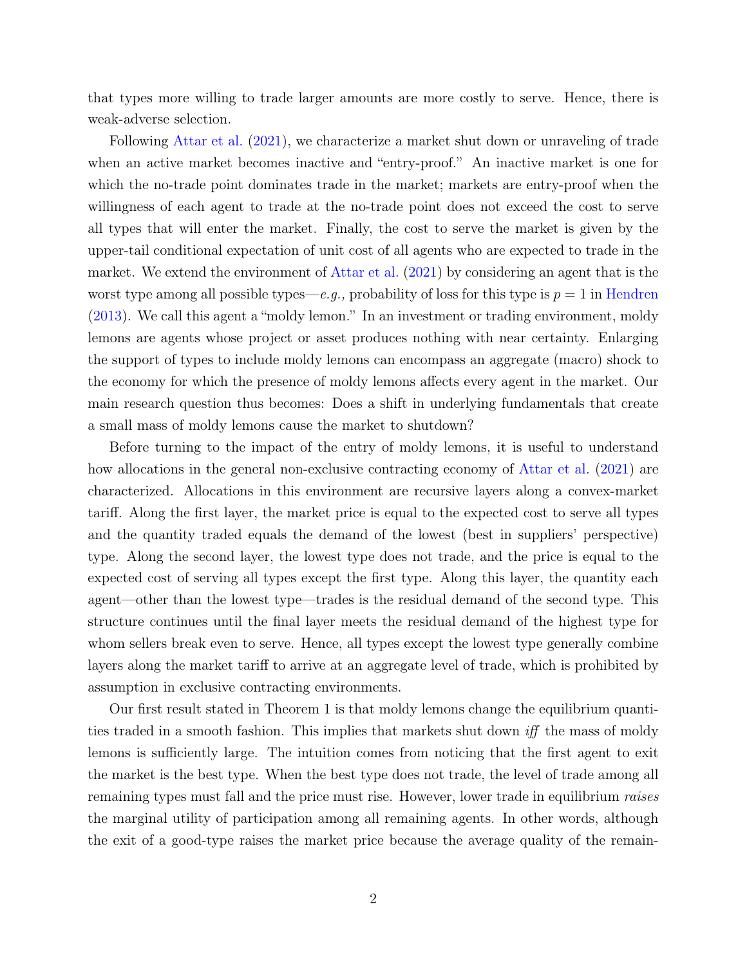that types more willing to trade larger amounts are more costly to serve. Hence, there is weak-adverse selection.

Following [Attar et al.](#page-34-2) [\(2021\)](#page-34-2), we characterize a market shut down or unraveling of trade when an active market becomes inactive and "entry-proof." An inactive market is one for which the no-trade point dominates trade in the market; markets are entry-proof when the willingness of each agent to trade at the no-trade point does not exceed the cost to serve all types that will enter the market. Finally, the cost to serve the market is given by the upper-tail conditional expectation of unit cost of all agents who are expected to trade in the market. We extend the environment of [Attar et al.](#page-34-2) [\(2021\)](#page-34-2) by considering an agent that is the worst type among all possible types—e.g., probability of loss for this type is  $p = 1$  in [Hendren](#page-35-4) [\(2013\)](#page-35-4). We call this agent a "moldy lemon." In an investment or trading environment, moldy lemons are agents whose project or asset produces nothing with near certainty. Enlarging the support of types to include moldy lemons can encompass an aggregate (macro) shock to the economy for which the presence of moldy lemons affects every agent in the market. Our main research question thus becomes: Does a shift in underlying fundamentals that create a small mass of moldy lemons cause the market to shutdown?

Before turning to the impact of the entry of moldy lemons, it is useful to understand how allocations in the general non-exclusive contracting economy of [Attar et al.](#page-34-2) [\(2021\)](#page-34-2) are characterized. Allocations in this environment are recursive layers along a convex-market tariff. Along the first layer, the market price is equal to the expected cost to serve all types and the quantity traded equals the demand of the lowest (best in suppliers' perspective) type. Along the second layer, the lowest type does not trade, and the price is equal to the expected cost of serving all types except the first type. Along this layer, the quantity each agent—other than the lowest type—trades is the residual demand of the second type. This structure continues until the final layer meets the residual demand of the highest type for whom sellers break even to serve. Hence, all types except the lowest type generally combine layers along the market tariff to arrive at an aggregate level of trade, which is prohibited by assumption in exclusive contracting environments.

Our first result stated in Theorem 1 is that moldy lemons change the equilibrium quantities traded in a smooth fashion. This implies that markets shut down iff the mass of moldy lemons is sufficiently large. The intuition comes from noticing that the first agent to exit the market is the best type. When the best type does not trade, the level of trade among all remaining types must fall and the price must rise. However, lower trade in equilibrium raises the marginal utility of participation among all remaining agents. In other words, although the exit of a good-type raises the market price because the average quality of the remain-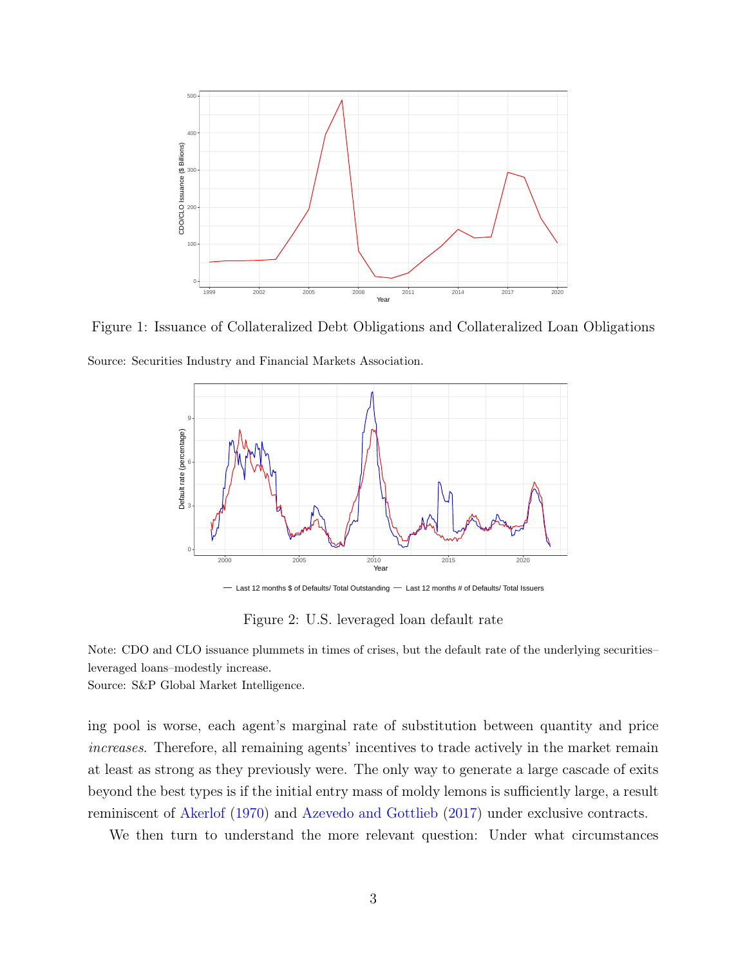<span id="page-4-0"></span>

Figure 1: Issuance of Collateralized Debt Obligations and Collateralized Loan Obligations Source: Securities Industry and Financial Markets Association.



Figure 2: U.S. leveraged loan default rate

Note: CDO and CLO issuance plummets in times of crises, but the default rate of the underlying securities– leveraged loans–modestly increase.

Source: S&P Global Market Intelligence.

ing pool is worse, each agent's marginal rate of substitution between quantity and price increases. Therefore, all remaining agents' incentives to trade actively in the market remain at least as strong as they previously were. The only way to generate a large cascade of exits beyond the best types is if the initial entry mass of moldy lemons is sufficiently large, a result reminiscent of [Akerlof](#page-34-4) [\(1970\)](#page-34-4) and [Azevedo and Gottlieb](#page-34-5) [\(2017\)](#page-34-5) under exclusive contracts.

We then turn to understand the more relevant question: Under what circumstances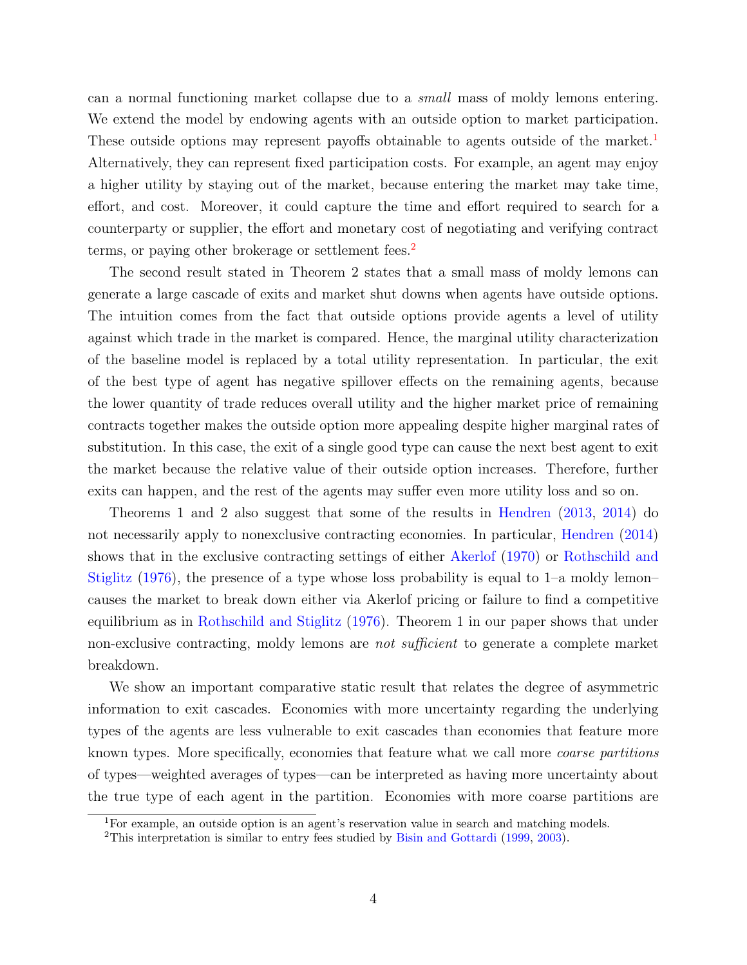can a normal functioning market collapse due to a small mass of moldy lemons entering. We extend the model by endowing agents with an outside option to market participation. These outside options may represent payoffs obtainable to agents outside of the market.<sup>[1](#page-5-0)</sup> Alternatively, they can represent fixed participation costs. For example, an agent may enjoy a higher utility by staying out of the market, because entering the market may take time, effort, and cost. Moreover, it could capture the time and effort required to search for a counterparty or supplier, the effort and monetary cost of negotiating and verifying contract terms, or paying other brokerage or settlement fees.<sup>[2](#page-5-1)</sup>

The second result stated in Theorem 2 states that a small mass of moldy lemons can generate a large cascade of exits and market shut downs when agents have outside options. The intuition comes from the fact that outside options provide agents a level of utility against which trade in the market is compared. Hence, the marginal utility characterization of the baseline model is replaced by a total utility representation. In particular, the exit of the best type of agent has negative spillover effects on the remaining agents, because the lower quantity of trade reduces overall utility and the higher market price of remaining contracts together makes the outside option more appealing despite higher marginal rates of substitution. In this case, the exit of a single good type can cause the next best agent to exit the market because the relative value of their outside option increases. Therefore, further exits can happen, and the rest of the agents may suffer even more utility loss and so on.

Theorems 1 and 2 also suggest that some of the results in [Hendren](#page-35-4) [\(2013,](#page-35-4) [2014\)](#page-35-5) do not necessarily apply to nonexclusive contracting economies. In particular, [Hendren](#page-35-5) [\(2014\)](#page-35-5) shows that in the exclusive contracting settings of either [Akerlof](#page-34-4) [\(1970\)](#page-34-4) or [Rothschild and](#page-36-1) [Stiglitz](#page-36-1) [\(1976\)](#page-36-1), the presence of a type whose loss probability is equal to 1–a moldy lemon– causes the market to break down either via Akerlof pricing or failure to find a competitive equilibrium as in [Rothschild and Stiglitz](#page-36-1) [\(1976\)](#page-36-1). Theorem 1 in our paper shows that under non-exclusive contracting, moldy lemons are *not sufficient* to generate a complete market breakdown.

We show an important comparative static result that relates the degree of asymmetric information to exit cascades. Economies with more uncertainty regarding the underlying types of the agents are less vulnerable to exit cascades than economies that feature more known types. More specifically, economies that feature what we call more coarse partitions of types—weighted averages of types—can be interpreted as having more uncertainty about the true type of each agent in the partition. Economies with more coarse partitions are

<span id="page-5-0"></span><sup>&</sup>lt;sup>1</sup>For example, an outside option is an agent's reservation value in search and matching models.

<span id="page-5-1"></span><sup>2</sup>This interpretation is similar to entry fees studied by [Bisin and Gottardi](#page-34-6) [\(1999,](#page-34-6) [2003\)](#page-34-7).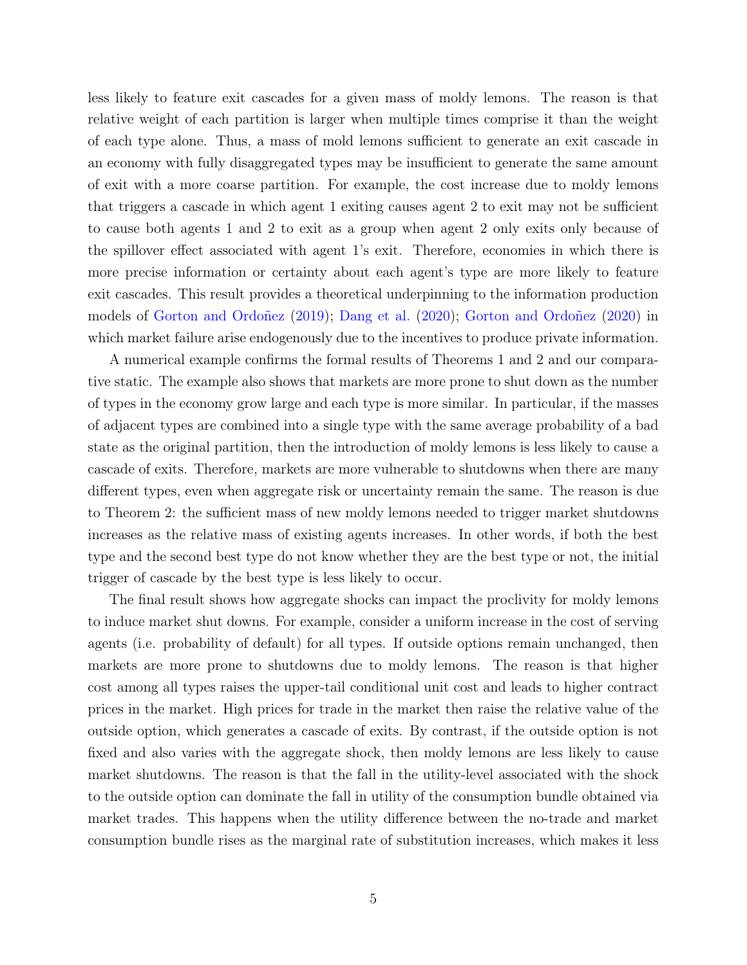less likely to feature exit cascades for a given mass of moldy lemons. The reason is that relative weight of each partition is larger when multiple times comprise it than the weight of each type alone. Thus, a mass of mold lemons sufficient to generate an exit cascade in an economy with fully disaggregated types may be insufficient to generate the same amount of exit with a more coarse partition. For example, the cost increase due to moldy lemons that triggers a cascade in which agent 1 exiting causes agent 2 to exit may not be sufficient to cause both agents 1 and 2 to exit as a group when agent 2 only exits only because of the spillover effect associated with agent 1's exit. Therefore, economies in which there is more precise information or certainty about each agent's type are more likely to feature exit cascades. This result provides a theoretical underpinning to the information production models of [Gorton and Ordoñez](#page-35-6) [\(2019\)](#page-35-6); [Dang et al.](#page-35-3) [\(2020\)](#page-35-3); [Gorton and Ordoñez](#page-35-7) [\(2020\)](#page-35-7) in which market failure arise endogenously due to the incentives to produce private information.

A numerical example confirms the formal results of Theorems 1 and 2 and our comparative static. The example also shows that markets are more prone to shut down as the number of types in the economy grow large and each type is more similar. In particular, if the masses of adjacent types are combined into a single type with the same average probability of a bad state as the original partition, then the introduction of moldy lemons is less likely to cause a cascade of exits. Therefore, markets are more vulnerable to shutdowns when there are many different types, even when aggregate risk or uncertainty remain the same. The reason is due to Theorem 2: the sufficient mass of new moldy lemons needed to trigger market shutdowns increases as the relative mass of existing agents increases. In other words, if both the best type and the second best type do not know whether they are the best type or not, the initial trigger of cascade by the best type is less likely to occur.

The final result shows how aggregate shocks can impact the proclivity for moldy lemons to induce market shut downs. For example, consider a uniform increase in the cost of serving agents (i.e. probability of default) for all types. If outside options remain unchanged, then markets are more prone to shutdowns due to moldy lemons. The reason is that higher cost among all types raises the upper-tail conditional unit cost and leads to higher contract prices in the market. High prices for trade in the market then raise the relative value of the outside option, which generates a cascade of exits. By contrast, if the outside option is not fixed and also varies with the aggregate shock, then moldy lemons are less likely to cause market shutdowns. The reason is that the fall in the utility-level associated with the shock to the outside option can dominate the fall in utility of the consumption bundle obtained via market trades. This happens when the utility difference between the no-trade and market consumption bundle rises as the marginal rate of substitution increases, which makes it less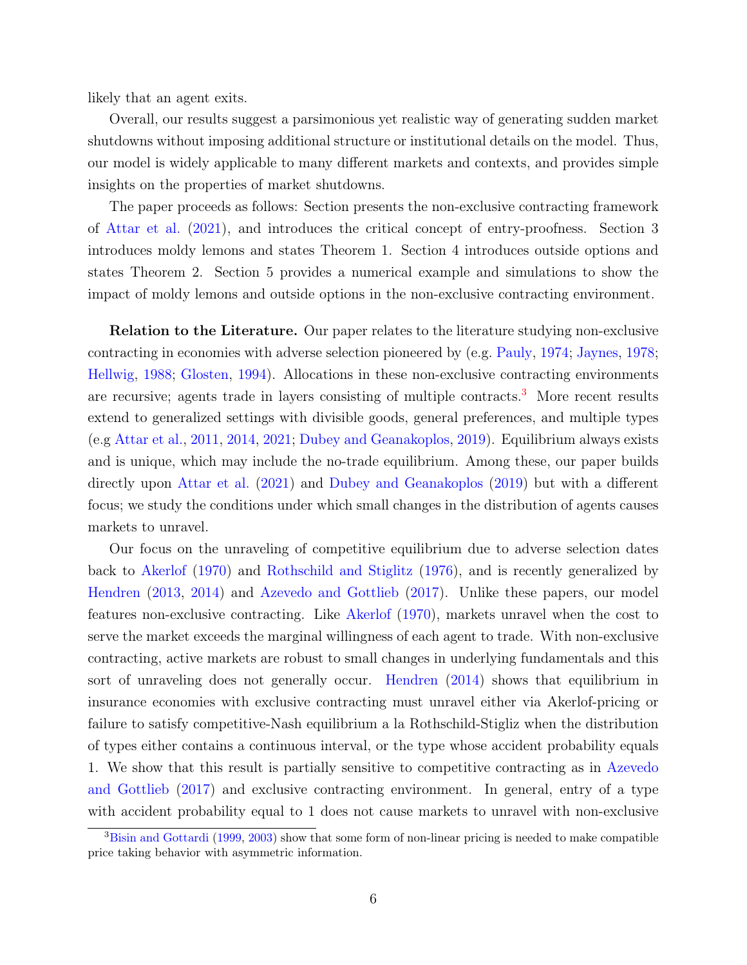likely that an agent exits.

Overall, our results suggest a parsimonious yet realistic way of generating sudden market shutdowns without imposing additional structure or institutional details on the model. Thus, our model is widely applicable to many different markets and contexts, and provides simple insights on the properties of market shutdowns.

The paper proceeds as follows: Section presents the non-exclusive contracting framework of [Attar et al.](#page-34-2) [\(2021\)](#page-34-2), and introduces the critical concept of entry-proofness. Section 3 introduces moldy lemons and states Theorem 1. Section 4 introduces outside options and states Theorem 2. Section 5 provides a numerical example and simulations to show the impact of moldy lemons and outside options in the non-exclusive contracting environment.

**Relation to the Literature.** Our paper relates to the literature studying non-exclusive contracting in economies with adverse selection pioneered by (e.g. [Pauly,](#page-36-2) [1974;](#page-36-2) [Jaynes,](#page-35-8) [1978;](#page-35-8) [Hellwig,](#page-35-9) [1988;](#page-35-9) [Glosten,](#page-35-10) [1994\)](#page-35-10). Allocations in these non-exclusive contracting environments are recursive; agents trade in layers consisting of multiple contracts.<sup>[3](#page-7-0)</sup> More recent results extend to generalized settings with divisible goods, general preferences, and multiple types (e.g [Attar et al.,](#page-34-8) [2011,](#page-34-8) [2014,](#page-34-9) [2021;](#page-34-2) [Dubey and Geanakoplos,](#page-35-2) [2019\)](#page-35-2). Equilibrium always exists and is unique, which may include the no-trade equilibrium. Among these, our paper builds directly upon [Attar et al.](#page-34-2) [\(2021\)](#page-34-2) and [Dubey and Geanakoplos](#page-35-2) [\(2019\)](#page-35-2) but with a different focus; we study the conditions under which small changes in the distribution of agents causes markets to unravel.

Our focus on the unraveling of competitive equilibrium due to adverse selection dates back to [Akerlof](#page-34-4) [\(1970\)](#page-34-4) and [Rothschild and Stiglitz](#page-36-1) [\(1976\)](#page-36-1), and is recently generalized by [Hendren](#page-35-4) [\(2013,](#page-35-4) [2014\)](#page-35-5) and [Azevedo and Gottlieb](#page-34-5) [\(2017\)](#page-34-5). Unlike these papers, our model features non-exclusive contracting. Like [Akerlof](#page-34-4) [\(1970\)](#page-34-4), markets unravel when the cost to serve the market exceeds the marginal willingness of each agent to trade. With non-exclusive contracting, active markets are robust to small changes in underlying fundamentals and this sort of unraveling does not generally occur. [Hendren](#page-35-5) [\(2014\)](#page-35-5) shows that equilibrium in insurance economies with exclusive contracting must unravel either via Akerlof-pricing or failure to satisfy competitive-Nash equilibrium a la Rothschild-Stigliz when the distribution of types either contains a continuous interval, or the type whose accident probability equals 1. We show that this result is partially sensitive to competitive contracting as in [Azevedo](#page-34-5) [and Gottlieb](#page-34-5) [\(2017\)](#page-34-5) and exclusive contracting environment. In general, entry of a type with accident probability equal to 1 does not cause markets to unravel with non-exclusive

<span id="page-7-0"></span><sup>&</sup>lt;sup>3</sup>[Bisin and Gottardi](#page-34-6) [\(1999,](#page-34-6) [2003\)](#page-34-7) show that some form of non-linear pricing is needed to make compatible price taking behavior with asymmetric information.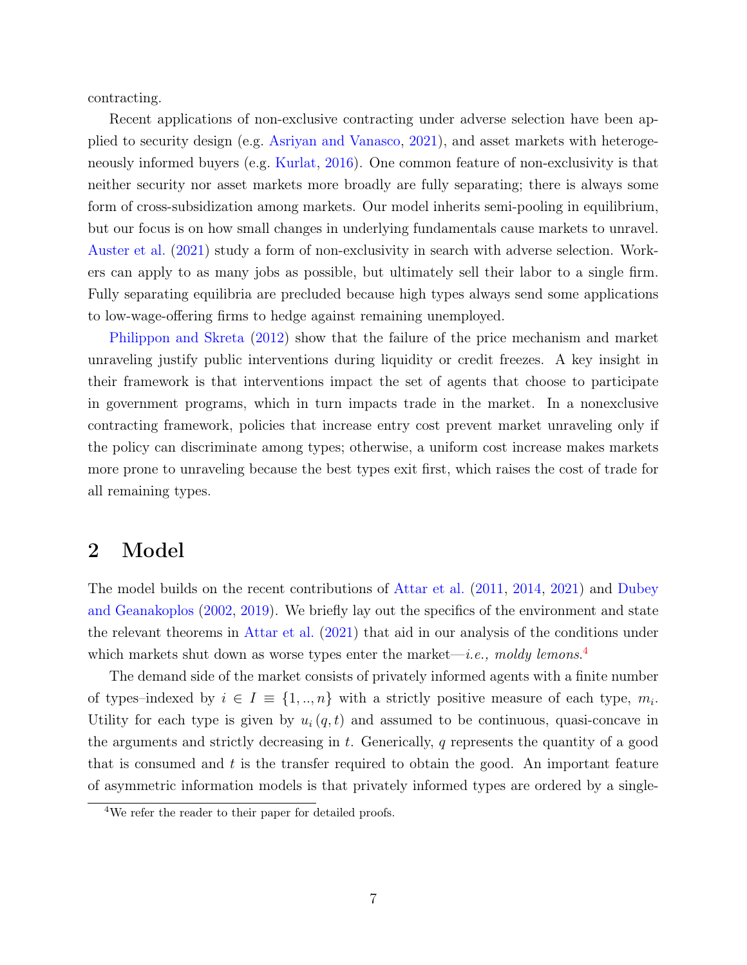contracting.

Recent applications of non-exclusive contracting under adverse selection have been applied to security design (e.g. [Asriyan and Vanasco,](#page-34-10) [2021\)](#page-34-10), and asset markets with heterogeneously informed buyers (e.g. [Kurlat,](#page-35-11) [2016\)](#page-35-11). One common feature of non-exclusivity is that neither security nor asset markets more broadly are fully separating; there is always some form of cross-subsidization among markets. Our model inherits semi-pooling in equilibrium, but our focus is on how small changes in underlying fundamentals cause markets to unravel. [Auster et al.](#page-34-11) [\(2021\)](#page-34-11) study a form of non-exclusivity in search with adverse selection. Workers can apply to as many jobs as possible, but ultimately sell their labor to a single firm. Fully separating equilibria are precluded because high types always send some applications to low-wage-offering firms to hedge against remaining unemployed.

[Philippon and Skreta](#page-36-3) [\(2012\)](#page-36-3) show that the failure of the price mechanism and market unraveling justify public interventions during liquidity or credit freezes. A key insight in their framework is that interventions impact the set of agents that choose to participate in government programs, which in turn impacts trade in the market. In a nonexclusive contracting framework, policies that increase entry cost prevent market unraveling only if the policy can discriminate among types; otherwise, a uniform cost increase makes markets more prone to unraveling because the best types exit first, which raises the cost of trade for all remaining types.

### 2 Model

The model builds on the recent contributions of [Attar et al.](#page-34-8) [\(2011,](#page-34-8) [2014,](#page-34-9) [2021\)](#page-34-2) and [Dubey](#page-35-12) [and Geanakoplos](#page-35-12) [\(2002,](#page-35-12) [2019\)](#page-35-2). We briefly lay out the specifics of the environment and state the relevant theorems in [Attar et al.](#page-34-2) [\(2021\)](#page-34-2) that aid in our analysis of the conditions under which markets shut down as worse types enter the market—*i.e.*, moldy lemons.<sup>[4](#page-8-0)</sup>

The demand side of the market consists of privately informed agents with a finite number of types–indexed by  $i \in I \equiv \{1, ..., n\}$  with a strictly positive measure of each type,  $m_i$ . Utility for each type is given by  $u_i(q, t)$  and assumed to be continuous, quasi-concave in the arguments and strictly decreasing in  $t$ . Generically,  $q$  represents the quantity of a good that is consumed and  $t$  is the transfer required to obtain the good. An important feature of asymmetric information models is that privately informed types are ordered by a single-

<span id="page-8-0"></span><sup>&</sup>lt;sup>4</sup>We refer the reader to their paper for detailed proofs.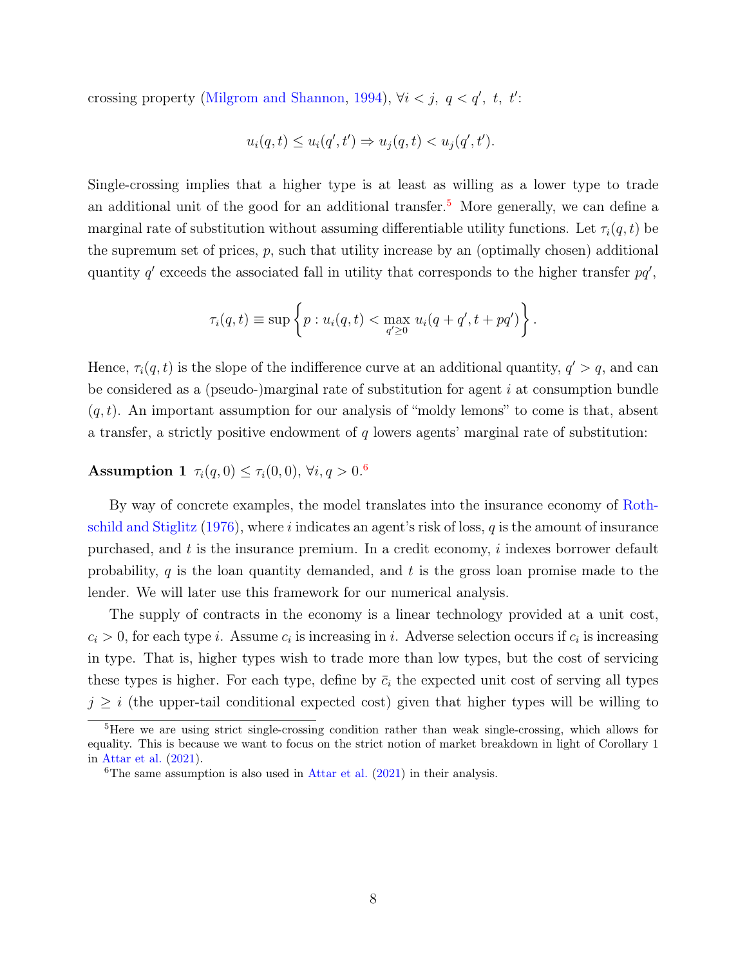crossing property [\(Milgrom and Shannon,](#page-36-4) [1994\)](#page-36-4),  $\forall i < j, q < q', t, t'$ :

$$
u_i(q, t) \le u_i(q', t') \Rightarrow u_j(q, t) < u_j(q', t').
$$

Single-crossing implies that a higher type is at least as willing as a lower type to trade an additional unit of the good for an additional transfer.<sup>[5](#page-9-0)</sup> More generally, we can define a marginal rate of substitution without assuming differentiable utility functions. Let  $\tau_i(q, t)$  be the supremum set of prices,  $p$ , such that utility increase by an (optimally chosen) additional quantity  $q'$  exceeds the associated fall in utility that corresponds to the higher transfer  $pq'$ ,

<span id="page-9-2"></span>
$$
\tau_i(q,t) \equiv \sup \left\{ p : u_i(q,t) < \max_{q' \geq 0} u_i(q+q',t+pq') \right\}.
$$

Hence,  $\tau_i(q, t)$  is the slope of the indifference curve at an additional quantity,  $q' > q$ , and can be considered as a (pseudo-)marginal rate of substitution for agent  $i$  at consumption bundle  $(q, t)$ . An important assumption for our analysis of "moldy lemons" to come is that, absent a transfer, a strictly positive endowment of  $q$  lowers agents' marginal rate of substitution:

### **Assumption 1**  $\tau_i(q, 0) \le \tau_i(0, 0), \forall i, q > 0.6$  $\tau_i(q, 0) \le \tau_i(0, 0), \forall i, q > 0.6$

By way of concrete examples, the model translates into the insurance economy of [Roth](#page-36-1)[schild and Stiglitz](#page-36-1)  $(1976)$ , where i indicates an agent's risk of loss, q is the amount of insurance purchased, and  $t$  is the insurance premium. In a credit economy,  $i$  indexes borrower default probability,  $q$  is the loan quantity demanded, and  $t$  is the gross loan promise made to the lender. We will later use this framework for our numerical analysis.

The supply of contracts in the economy is a linear technology provided at a unit cost,  $c_i > 0$ , for each type *i*. Assume  $c_i$  is increasing in *i*. Adverse selection occurs if  $c_i$  is increasing in type. That is, higher types wish to trade more than low types, but the cost of servicing these types is higher. For each type, define by  $\bar{c}_i$  the expected unit cost of serving all types  $j \geq i$  (the upper-tail conditional expected cost) given that higher types will be willing to

<span id="page-9-0"></span><sup>5</sup>Here we are using strict single-crossing condition rather than weak single-crossing, which allows for equality. This is because we want to focus on the strict notion of market breakdown in light of Corollary 1 in [Attar et al.](#page-34-2) [\(2021\)](#page-34-2).

<span id="page-9-1"></span><sup>&</sup>lt;sup>6</sup>The same assumption is also used in [Attar et al.](#page-34-2)  $(2021)$  in their analysis.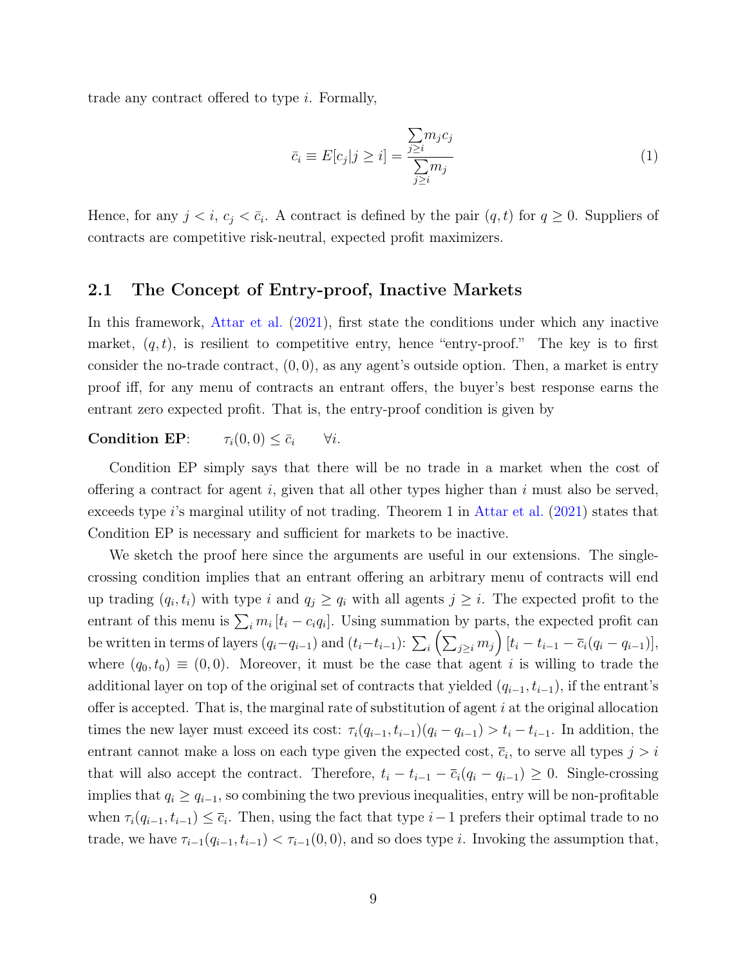trade any contract offered to type i. Formally,

$$
\bar{c}_i \equiv E[c_j | j \ge i] = \frac{\sum_{j \ge i} m_j c_j}{\sum_{j \ge i} m_j} \tag{1}
$$

Hence, for any  $j < i$ ,  $c_j < \bar{c}_i$ . A contract is defined by the pair  $(q, t)$  for  $q \ge 0$ . Suppliers of contracts are competitive risk-neutral, expected profit maximizers.

### 2.1 The Concept of Entry-proof, Inactive Markets

In this framework, [Attar et al.](#page-34-2) [\(2021\)](#page-34-2), first state the conditions under which any inactive market,  $(q, t)$ , is resilient to competitive entry, hence "entry-proof." The key is to first consider the no-trade contract,  $(0, 0)$ , as any agent's outside option. Then, a market is entry proof iff, for any menu of contracts an entrant offers, the buyer's best response earns the entrant zero expected profit. That is, the entry-proof condition is given by

### **Condition EP:**  $\tau_i(0,0) \leq \bar{c}_i$   $\forall i$ .

Condition EP simply says that there will be no trade in a market when the cost of offering a contract for agent i, given that all other types higher than i must also be served, exceeds type i's marginal utility of not trading. Theorem 1 in [Attar et al.](#page-34-2)  $(2021)$  states that Condition EP is necessary and sufficient for markets to be inactive.

We sketch the proof here since the arguments are useful in our extensions. The singlecrossing condition implies that an entrant offering an arbitrary menu of contracts will end up trading  $(q_i, t_i)$  with type i and  $q_j \ge q_i$  with all agents  $j \ge i$ . The expected profit to the entrant of this menu is  $\sum_i m_i$  [ $t_i - c_i q_i$ ]. Using summation by parts, the expected profit can be written in terms of layers  $(q_i-q_{i-1})$  and  $(t_i-t_{i-1})$ :  $\sum_i \left( \sum_{j\geq i} m_j \right) [t_i - t_{i-1} - \overline{c}_i (q_i - q_{i-1})],$ where  $(q_0, t_0) \equiv (0, 0)$ . Moreover, it must be the case that agent i is willing to trade the additional layer on top of the original set of contracts that yielded  $(q_{i-1}, t_{i-1})$ , if the entrant's offer is accepted. That is, the marginal rate of substitution of agent  $i$  at the original allocation times the new layer must exceed its cost:  $\tau_i(q_{i-1}, t_{i-1})(q_i - q_{i-1}) > t_i - t_{i-1}$ . In addition, the entrant cannot make a loss on each type given the expected cost,  $\overline{c}_i$ , to serve all types  $j > i$ that will also accept the contract. Therefore,  $t_i - t_{i-1} - \overline{c}_i(q_i - q_{i-1}) \geq 0$ . Single-crossing implies that  $q_i \geq q_{i-1}$ , so combining the two previous inequalities, entry will be non-profitable when  $\tau_i(q_{i-1}, t_{i-1}) \leq \overline{c}_i$ . Then, using the fact that type  $i-1$  prefers their optimal trade to no trade, we have  $\tau_{i-1}(q_{i-1}, t_{i-1}) < \tau_{i-1}(0, 0)$ , and so does type i. Invoking the assumption that,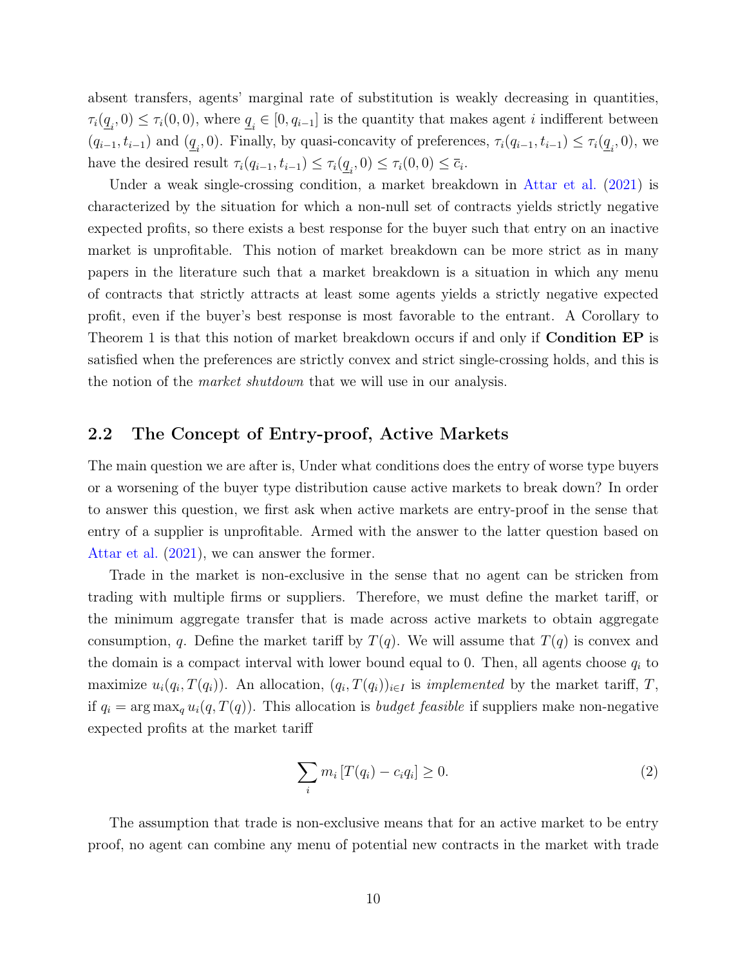absent transfers, agents' marginal rate of substitution is weakly decreasing in quantities,  $\tau_i(\underline{q}_i,0) \leq \tau_i(0,0)$ , where  $\underline{q}_i \in [0,q_{i-1}]$  is the quantity that makes agent *i* indifferent between  $(q_{i-1}, t_{i-1})$  and  $(\underline{q}_i, 0)$ . Finally, by quasi-concavity of preferences,  $\tau_i(q_{i-1}, t_{i-1}) \leq \tau_i(\underline{q}_i, 0)$ , we have the desired result  $\tau_i(q_{i-1}, t_{i-1}) \leq \tau_i(\underline{q}_i, 0) \leq \tau_i(0, 0) \leq \overline{c}_i$ .

Under a weak single-crossing condition, a market breakdown in [Attar et al.](#page-34-2) [\(2021\)](#page-34-2) is characterized by the situation for which a non-null set of contracts yields strictly negative expected profits, so there exists a best response for the buyer such that entry on an inactive market is unprofitable. This notion of market breakdown can be more strict as in many papers in the literature such that a market breakdown is a situation in which any menu of contracts that strictly attracts at least some agents yields a strictly negative expected profit, even if the buyer's best response is most favorable to the entrant. A Corollary to Theorem 1 is that this notion of market breakdown occurs if and only if **Condition EP** is satisfied when the preferences are strictly convex and strict single-crossing holds, and this is the notion of the market shutdown that we will use in our analysis.

### 2.2 The Concept of Entry-proof, Active Markets

The main question we are after is, Under what conditions does the entry of worse type buyers or a worsening of the buyer type distribution cause active markets to break down? In order to answer this question, we first ask when active markets are entry-proof in the sense that entry of a supplier is unprofitable. Armed with the answer to the latter question based on [Attar et al.](#page-34-2) [\(2021\)](#page-34-2), we can answer the former.

Trade in the market is non-exclusive in the sense that no agent can be stricken from trading with multiple firms or suppliers. Therefore, we must define the market tariff, or the minimum aggregate transfer that is made across active markets to obtain aggregate consumption, q. Define the market tariff by  $T(q)$ . We will assume that  $T(q)$  is convex and the domain is a compact interval with lower bound equal to 0. Then, all agents choose  $q_i$  to maximize  $u_i(q_i, T(q_i))$ . An allocation,  $(q_i, T(q_i))_{i \in I}$  is *implemented* by the market tariff, T, if  $q_i = \arg \max_q u_i(q, T(q))$ . This allocation is *budget feasible* if suppliers make non-negative expected profits at the market tariff

<span id="page-11-0"></span>
$$
\sum_{i} m_i \left[ T(q_i) - c_i q_i \right] \ge 0. \tag{2}
$$

The assumption that trade is non-exclusive means that for an active market to be entry proof, no agent can combine any menu of potential new contracts in the market with trade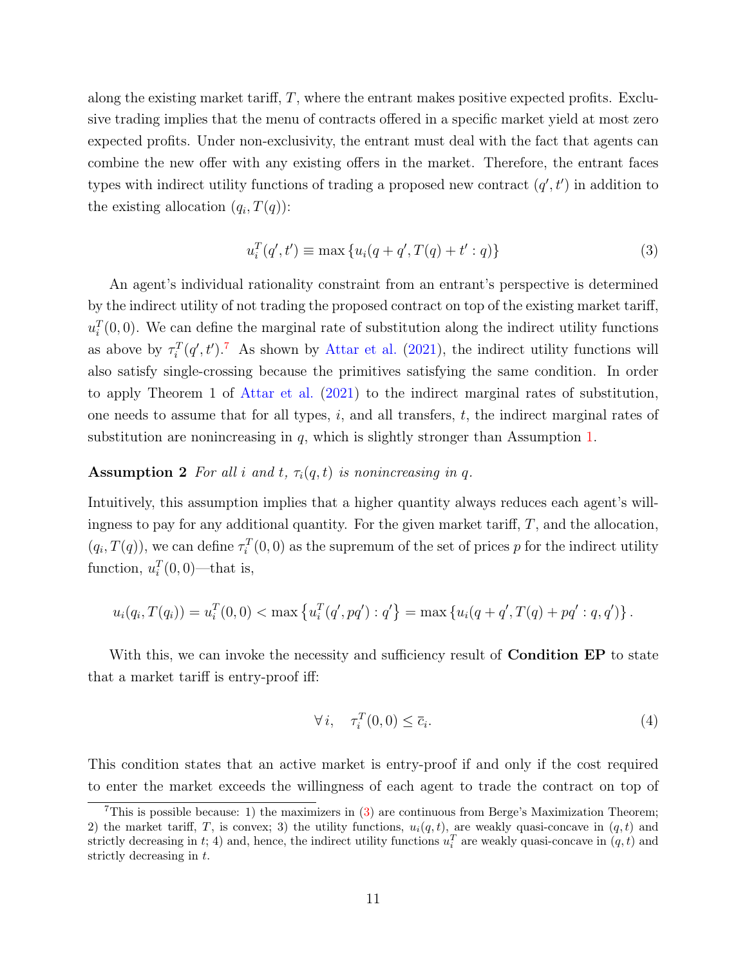along the existing market tariff,  $T$ , where the entrant makes positive expected profits. Exclusive trading implies that the menu of contracts offered in a specific market yield at most zero expected profits. Under non-exclusivity, the entrant must deal with the fact that agents can combine the new offer with any existing offers in the market. Therefore, the entrant faces types with indirect utility functions of trading a proposed new contract  $(q', t')$  in addition to the existing allocation  $(q_i, T(q))$ :

<span id="page-12-2"></span><span id="page-12-1"></span>
$$
u_i^T(q',t') \equiv \max\{u_i(q+q',T(q)+t':q)\}\tag{3}
$$

An agent's individual rationality constraint from an entrant's perspective is determined by the indirect utility of not trading the proposed contract on top of the existing market tariff,  $u_i^T(0,0)$ . We can define the marginal rate of substitution along the indirect utility functions as above by  $\tau_i^T(q',t')$ .<sup>[7](#page-12-0)</sup> As shown by [Attar et al.](#page-34-2) [\(2021\)](#page-34-2), the indirect utility functions will also satisfy single-crossing because the primitives satisfying the same condition. In order to apply Theorem 1 of [Attar et al.](#page-34-2) [\(2021\)](#page-34-2) to the indirect marginal rates of substitution, one needs to assume that for all types,  $i$ , and all transfers,  $t$ , the indirect marginal rates of substitution are nonincreasing in  $q$ , which is slightly stronger than Assumption [1.](#page-9-2)

#### **Assumption 2** For all i and t,  $\tau_i(q, t)$  is nonincreasing in q.

Intuitively, this assumption implies that a higher quantity always reduces each agent's willingness to pay for any additional quantity. For the given market tariff, T, and the allocation,  $(q_i, T(q))$ , we can define  $\tau_i^T(0,0)$  as the supremum of the set of prices p for the indirect utility function,  $u_i^T(0,0)$ —that is,

$$
u_i(q_i, T(q_i)) = u_i^T(0,0) < \max\left\{u_i^T(q',pq') : q'\right\} = \max\left\{u_i(q+q', T(q) + pq' : q, q')\right\}.
$$

With this, we can invoke the necessity and sufficiency result of **Condition EP** to state that a market tariff is entry-proof iff:

$$
\forall i, \quad \tau_i^T(0,0) \le \overline{c}_i. \tag{4}
$$

This condition states that an active market is entry-proof if and only if the cost required to enter the market exceeds the willingness of each agent to trade the contract on top of

<span id="page-12-0"></span><sup>&</sup>lt;sup>7</sup>This is possible because: 1) the maximizers in  $(3)$  are continuous from Berge's Maximization Theorem; 2) the market tariff, T, is convex; 3) the utility functions,  $u_i(q, t)$ , are weakly quasi-concave in  $(q, t)$  and strictly decreasing in t; 4) and, hence, the indirect utility functions  $u_i^T$  are weakly quasi-concave in  $(q, t)$  and strictly decreasing in t.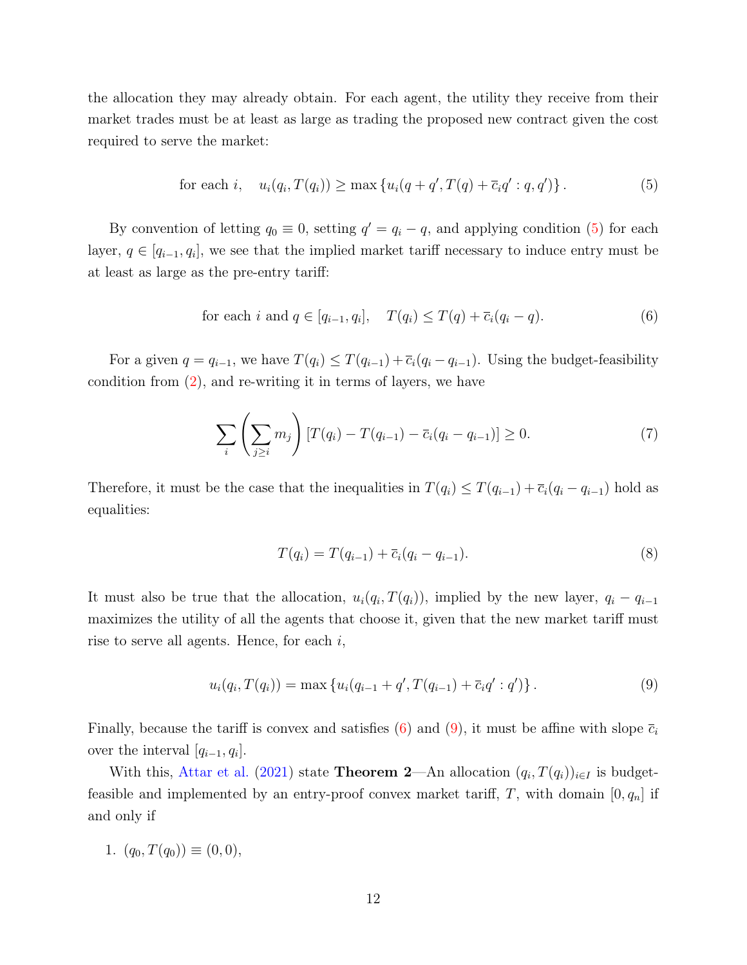the allocation they may already obtain. For each agent, the utility they receive from their market trades must be at least as large as trading the proposed new contract given the cost required to serve the market:

<span id="page-13-0"></span>for each *i*, 
$$
u_i(q_i, T(q_i)) \ge \max\{u_i(q + q', T(q) + \overline{c}_i q' : q, q')\}
$$
. (5)

By convention of letting  $q_0 \equiv 0$ , setting  $q' = q_i - q$ , and applying condition [\(5\)](#page-13-0) for each layer,  $q \in [q_{i-1}, q_i]$ , we see that the implied market tariff necessary to induce entry must be at least as large as the pre-entry tariff:

<span id="page-13-1"></span>for each 
$$
i
$$
 and  $q \in [q_{i-1}, q_i], \quad T(q_i) \leq T(q) + \overline{c}_i(q_i - q).$  (6)

For a given  $q = q_{i-1}$ , we have  $T(q_i) \leq T(q_{i-1}) + \overline{c}_i(q_i - q_{i-1})$ . Using the budget-feasibility condition from [\(2\)](#page-11-0), and re-writing it in terms of layers, we have

$$
\sum_{i} \left( \sum_{j \ge i} m_j \right) [T(q_i) - T(q_{i-1}) - \bar{c}_i (q_i - q_{i-1})] \ge 0. \tag{7}
$$

Therefore, it must be the case that the inequalities in  $T(q_i) \leq T(q_{i-1}) + \overline{c}_i(q_i - q_{i-1})$  hold as equalities:

<span id="page-13-2"></span>
$$
T(q_i) = T(q_{i-1}) + \overline{c}_i(q_i - q_{i-1}).
$$
\n(8)

It must also be true that the allocation,  $u_i(q_i, T(q_i))$ , implied by the new layer,  $q_i - q_{i-1}$ maximizes the utility of all the agents that choose it, given that the new market tariff must rise to serve all agents. Hence, for each  $i$ ,

$$
u_i(q_i, T(q_i)) = \max \{ u_i(q_{i-1} + q', T(q_{i-1}) + \overline{c}_i q' : q' ) \}.
$$
\n(9)

Finally, because the tariff is convex and satisfies [\(6\)](#page-13-1) and [\(9\)](#page-13-2), it must be affine with slope  $\bar{c}_i$ over the interval  $[q_{i-1}, q_i]$ .

With this, [Attar et al.](#page-34-2) [\(2021\)](#page-34-2) state **Theorem 2**—An allocation  $(q_i, T(q_i))_{i \in I}$  is budgetfeasible and implemented by an entry-proof convex market tariff, T, with domain  $[0, q_n]$  if and only if

1. 
$$
(q_0, T(q_0)) \equiv (0, 0),
$$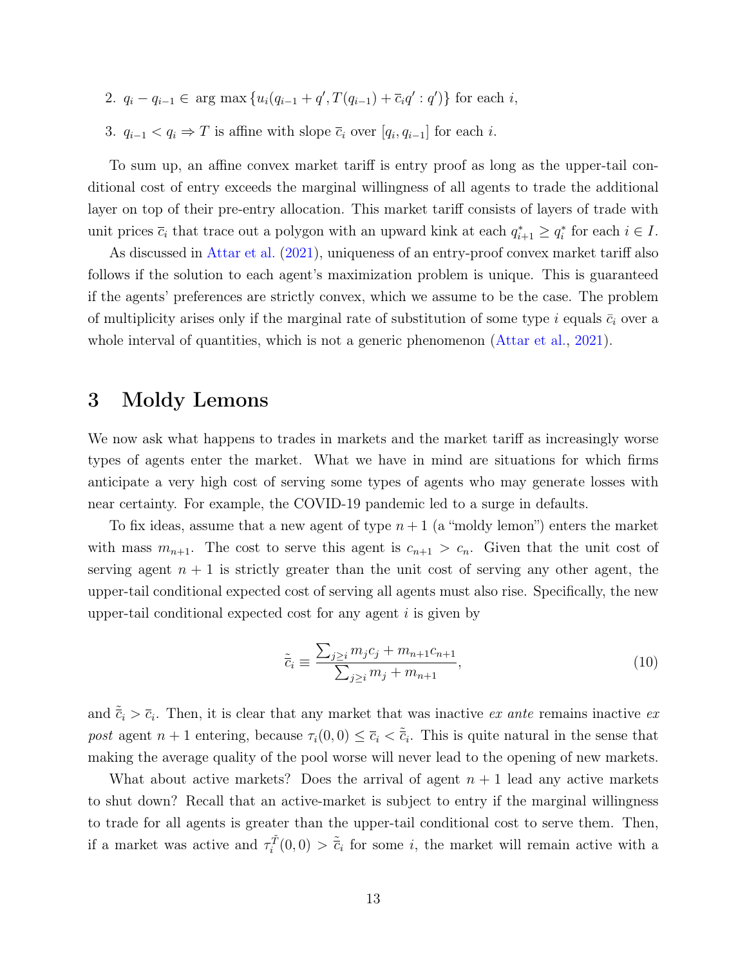- 2.  $q_i q_{i-1} \in \arg \max \{ u_i (q_{i-1} + q', T(q_{i-1}) + \overline{c}_i q' : q' ) \}$  for each i,
- 3.  $q_{i-1} < q_i \Rightarrow T$  is affine with slope  $\overline{c}_i$  over  $[q_i, q_{i-1}]$  for each i.

To sum up, an affine convex market tariff is entry proof as long as the upper-tail conditional cost of entry exceeds the marginal willingness of all agents to trade the additional layer on top of their pre-entry allocation. This market tariff consists of layers of trade with unit prices  $\bar{c}_i$  that trace out a polygon with an upward kink at each  $q_{i+1}^* \ge q_i^*$  for each  $i \in I$ .

As discussed in [Attar et al.](#page-34-2) [\(2021\)](#page-34-2), uniqueness of an entry-proof convex market tariff also follows if the solution to each agent's maximization problem is unique. This is guaranteed if the agents' preferences are strictly convex, which we assume to be the case. The problem of multiplicity arises only if the marginal rate of substitution of some type i equals  $\bar{c}_i$  over a whole interval of quantities, which is not a generic phenomenon [\(Attar et al.,](#page-34-2) [2021\)](#page-34-2).

### 3 Moldy Lemons

We now ask what happens to trades in markets and the market tariff as increasingly worse types of agents enter the market. What we have in mind are situations for which firms anticipate a very high cost of serving some types of agents who may generate losses with near certainty. For example, the COVID-19 pandemic led to a surge in defaults.

To fix ideas, assume that a new agent of type  $n+1$  (a "moldy lemon") enters the market with mass  $m_{n+1}$ . The cost to serve this agent is  $c_{n+1} > c_n$ . Given that the unit cost of serving agent  $n + 1$  is strictly greater than the unit cost of serving any other agent, the upper-tail conditional expected cost of serving all agents must also rise. Specifically, the new upper-tail conditional expected cost for any agent  $i$  is given by

<span id="page-14-0"></span>
$$
\tilde{\bar{c}}_i \equiv \frac{\sum_{j \ge i} m_j c_j + m_{n+1} c_{n+1}}{\sum_{j \ge i} m_j + m_{n+1}},\tag{10}
$$

and  $\tilde{\bar{c}}_i > \bar{c}_i$ . Then, it is clear that any market that was inactive ex ante remains inactive ex post agent  $n+1$  entering, because  $\tau_i(0,0) \leq \bar{c}_i < \tilde{\bar{c}}_i$ . This is quite natural in the sense that making the average quality of the pool worse will never lead to the opening of new markets.

What about active markets? Does the arrival of agent  $n + 1$  lead any active markets to shut down? Recall that an active-market is subject to entry if the marginal willingness to trade for all agents is greater than the upper-tail conditional cost to serve them. Then, if a market was active and  $\tau_i^{\tilde{T}}(0,0) > \tilde{c}_i$  for some *i*, the market will remain active with a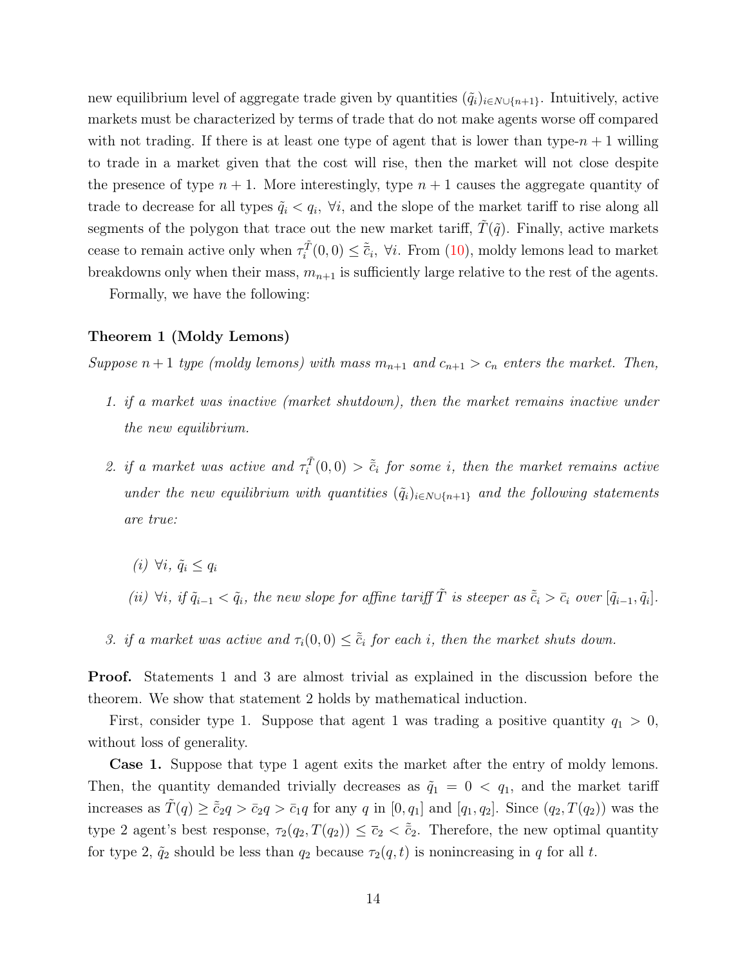new equilibrium level of aggregate trade given by quantities  $(\tilde{q}_i)_{i \in N \cup \{n+1\}}$ . Intuitively, active markets must be characterized by terms of trade that do not make agents worse off compared with not trading. If there is at least one type of agent that is lower than type- $n + 1$  willing to trade in a market given that the cost will rise, then the market will not close despite the presence of type  $n + 1$ . More interestingly, type  $n + 1$  causes the aggregate quantity of trade to decrease for all types  $\tilde{q}_i < q_i$ ,  $\forall i$ , and the slope of the market tariff to rise along all segments of the polygon that trace out the new market tariff,  $\hat{T}(\tilde{q})$ . Finally, active markets cease to remain active only when  $\tau_i^{\tilde{T}}(0,0) \leq \tilde{\tilde{c}}_i$ ,  $\forall i$ . From [\(10\)](#page-14-0), moldy lemons lead to market breakdowns only when their mass,  $m_{n+1}$  is sufficiently large relative to the rest of the agents.

<span id="page-15-0"></span>Formally, we have the following:

#### Theorem 1 (Moldy Lemons)

Suppose  $n+1$  type (moldy lemons) with mass  $m_{n+1}$  and  $c_{n+1} > c_n$  enters the market. Then,

- 1. if a market was inactive (market shutdown), then the market remains inactive under the new equilibrium.
- 2. if a market was active and  $\tau_i^{\tilde{T}}(0,0) > \tilde{c}_i$  for some i, then the market remains active under the new equilibrium with quantities  $(\tilde{q}_i)_{i \in N \cup \{n+1\}}$  and the following statements are true:
	- (i)  $\forall i, \tilde{q}_i \leq q_i$
	- (ii)  $\forall i, if \tilde{q}_{i-1} < \tilde{q}_i$ , the new slope for affine tariff  $\tilde{T}$  is steeper as  $\tilde{\tilde{c}}_i > \bar{c}_i$  over  $[\tilde{q}_{i-1}, \tilde{q}_i]$ .
- 3. if a market was active and  $\tau_i(0,0) \leq \tilde{c}_i$  for each i, then the market shuts down.

Proof. Statements 1 and 3 are almost trivial as explained in the discussion before the theorem. We show that statement 2 holds by mathematical induction.

First, consider type 1. Suppose that agent 1 was trading a positive quantity  $q_1 > 0$ , without loss of generality.

Case 1. Suppose that type 1 agent exits the market after the entry of moldy lemons. Then, the quantity demanded trivially decreases as  $\tilde{q}_1 = 0 < q_1$ , and the market tariff increases as  $\tilde{T}(q) \geq \tilde{c}_{2}q > \bar{c}_{2}q > \bar{c}_{1}q$  for any q in  $[0, q_{1}]$  and  $[q_{1}, q_{2}]$ . Since  $(q_{2}, T(q_{2}))$  was the type 2 agent's best response,  $\tau_2(q_2, T(q_2)) \leq \bar{c}_2 < \tilde{c}_2$ . Therefore, the new optimal quantity for type 2,  $\tilde{q}_2$  should be less than  $q_2$  because  $\tau_2(q, t)$  is nonincreasing in q for all t.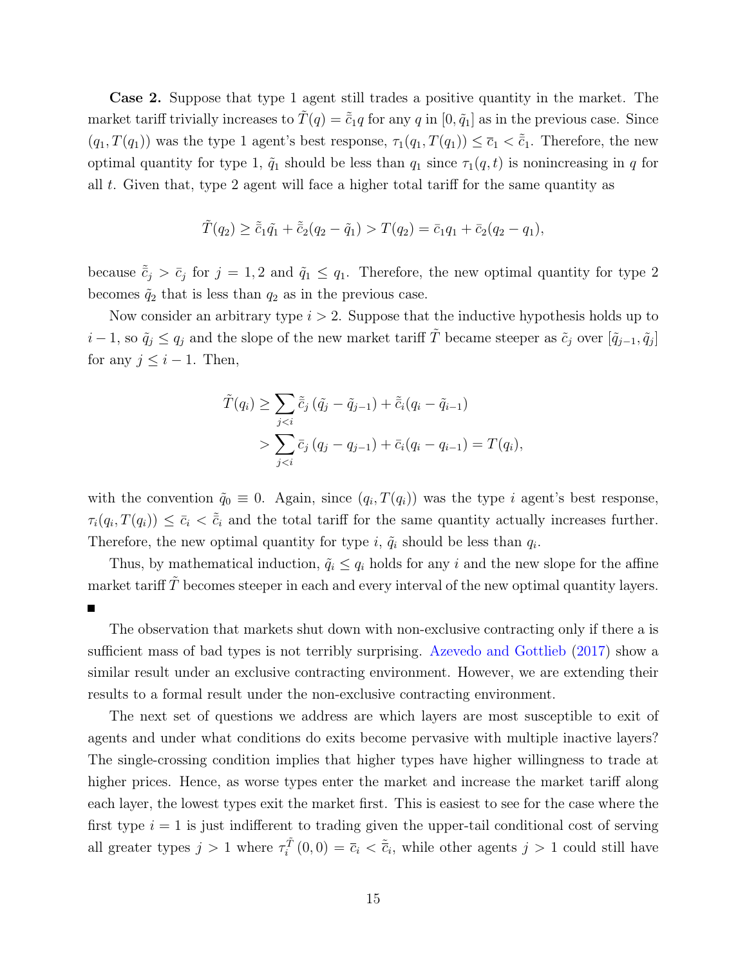Case 2. Suppose that type 1 agent still trades a positive quantity in the market. The market tariff trivially increases to  $\tilde{T}(q) = \tilde{c}_1q$  for any q in  $[0, \tilde{q}_1]$  as in the previous case. Since  $(q_1, T(q_1))$  was the type 1 agent's best response,  $\tau_1(q_1, T(q_1)) \leq \bar{c}_1 < \tilde{c}_1$ . Therefore, the new optimal quantity for type 1,  $\tilde{q}_1$  should be less than  $q_1$  since  $\tau_1(q, t)$  is nonincreasing in q for all t. Given that, type 2 agent will face a higher total tariff for the same quantity as

$$
\tilde{T}(q_2) \ge \tilde{\bar{c}}_1 \tilde{q_1} + \tilde{\bar{c}}_2 (q_2 - \tilde{q}_1) > T(q_2) = \bar{c}_1 q_1 + \bar{c}_2 (q_2 - q_1),
$$

because  $\tilde{\bar{c}}_j > \bar{c}_j$  for  $j = 1, 2$  and  $\tilde{q}_1 \leq q_1$ . Therefore, the new optimal quantity for type 2 becomes  $\tilde{q}_2$  that is less than  $q_2$  as in the previous case.

Now consider an arbitrary type  $i > 2$ . Suppose that the inductive hypothesis holds up to  $i-1$ , so  $\tilde{q}_j \le q_j$  and the slope of the new market tariff  $\tilde{T}$  became steeper as  $\tilde{c}_j$  over  $[\tilde{q}_{j-1}, \tilde{q}_j]$ for any  $j \leq i - 1$ . Then,

$$
\tilde{T}(q_i) \ge \sum_{j < i} \tilde{\bar{c}}_j (\tilde{q}_j - \tilde{q}_{j-1}) + \tilde{\bar{c}}_i (q_i - \tilde{q}_{i-1}) \\
> \sum_{j < i} \bar{c}_j (q_j - q_{j-1}) + \bar{c}_i (q_i - q_{i-1}) = T(q_i),
$$

with the convention  $\tilde{q}_0 \equiv 0$ . Again, since  $(q_i, T(q_i))$  was the type i agent's best response,  $\tau_i(q_i, T(q_i)) \leq \bar{c}_i < \tilde{c}_i$  and the total tariff for the same quantity actually increases further. Therefore, the new optimal quantity for type i,  $\tilde{q}_i$  should be less than  $q_i$ .

Thus, by mathematical induction,  $\tilde{q}_i \leq q_i$  holds for any i and the new slope for the affine market tariff  $T$  becomes steeper in each and every interval of the new optimal quantity layers.

The observation that markets shut down with non-exclusive contracting only if there a is sufficient mass of bad types is not terribly surprising. [Azevedo and Gottlieb](#page-34-5) [\(2017\)](#page-34-5) show a similar result under an exclusive contracting environment. However, we are extending their results to a formal result under the non-exclusive contracting environment.

The next set of questions we address are which layers are most susceptible to exit of agents and under what conditions do exits become pervasive with multiple inactive layers? The single-crossing condition implies that higher types have higher willingness to trade at higher prices. Hence, as worse types enter the market and increase the market tariff along each layer, the lowest types exit the market first. This is easiest to see for the case where the first type  $i = 1$  is just indifferent to trading given the upper-tail conditional cost of serving all greater types  $j > 1$  where  $\tau_i^{\tilde{T}}(0,0) = \bar{c}_i < \tilde{\bar{c}}_i$ , while other agents  $j > 1$  could still have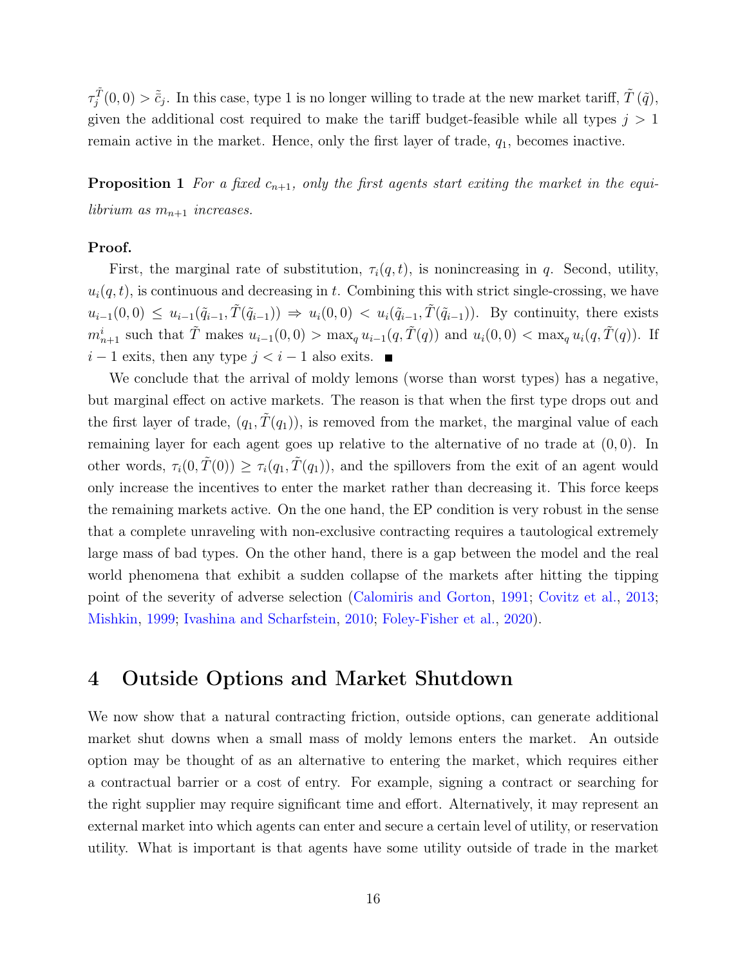$\tau_j^{\tilde{T}}(0,0) > \tilde{c}_j$ . In this case, type 1 is no longer willing to trade at the new market tariff,  $\tilde{T}(\tilde{q})$ , given the additional cost required to make the tariff budget-feasible while all types  $j > 1$ remain active in the market. Hence, only the first layer of trade,  $q_1$ , becomes inactive.

<span id="page-17-0"></span>**Proposition 1** For a fixed  $c_{n+1}$ , only the first agents start exiting the market in the equilibrium as  $m_{n+1}$  increases.

#### Proof.

First, the marginal rate of substitution,  $\tau_i(q, t)$ , is nonincreasing in q. Second, utility,  $u_i(q, t)$ , is continuous and decreasing in t. Combining this with strict single-crossing, we have  $u_{i-1}(0,0) \leq u_{i-1}(\tilde{q}_{i-1}, \tilde{T}(\tilde{q}_{i-1})) \Rightarrow u_i(0,0) < u_i(\tilde{q}_{i-1}, \tilde{T}(\tilde{q}_{i-1}))$ . By continuity, there exists  $m_{n+1}^i$  such that  $\tilde{T}$  makes  $u_{i-1}(0,0) > \max_q u_{i-1}(q,\tilde{T}(q))$  and  $u_i(0,0) < \max_q u_i(q,\tilde{T}(q))$ . If  $i-1$  exits, then any type  $j < i-1$  also exits. ■

We conclude that the arrival of moldy lemons (worse than worst types) has a negative, but marginal effect on active markets. The reason is that when the first type drops out and the first layer of trade,  $(q_1, \tilde{T}(q_1))$ , is removed from the market, the marginal value of each remaining layer for each agent goes up relative to the alternative of no trade at  $(0, 0)$ . In other words,  $\tau_i(0, \tilde{T}(0)) \geq \tau_i(q_1, \tilde{T}(q_1))$ , and the spillovers from the exit of an agent would only increase the incentives to enter the market rather than decreasing it. This force keeps the remaining markets active. On the one hand, the EP condition is very robust in the sense that a complete unraveling with non-exclusive contracting requires a tautological extremely large mass of bad types. On the other hand, there is a gap between the model and the real world phenomena that exhibit a sudden collapse of the markets after hitting the tipping point of the severity of adverse selection [\(Calomiris and Gorton,](#page-34-0) [1991;](#page-34-0) [Covitz et al.,](#page-34-1) [2013;](#page-34-1) [Mishkin,](#page-36-0) [1999;](#page-36-0) [Ivashina and Scharfstein,](#page-35-0) [2010;](#page-35-0) [Foley-Fisher et al.,](#page-35-1) [2020\)](#page-35-1).

## 4 Outside Options and Market Shutdown

We now show that a natural contracting friction, outside options, can generate additional market shut downs when a small mass of moldy lemons enters the market. An outside option may be thought of as an alternative to entering the market, which requires either a contractual barrier or a cost of entry. For example, signing a contract or searching for the right supplier may require significant time and effort. Alternatively, it may represent an external market into which agents can enter and secure a certain level of utility, or reservation utility. What is important is that agents have some utility outside of trade in the market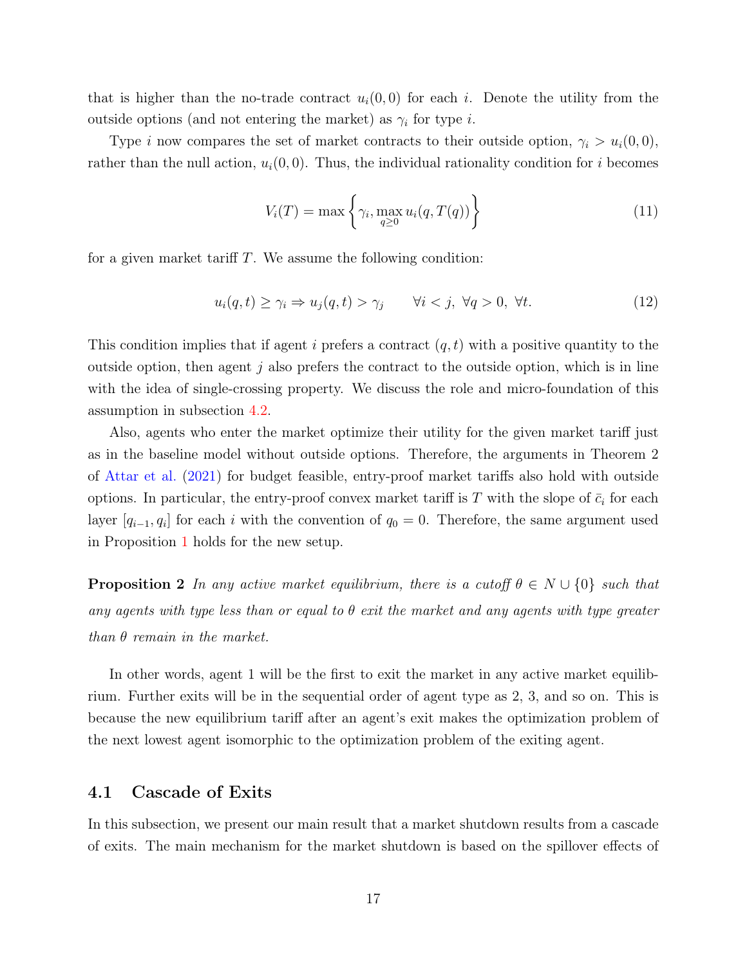that is higher than the no-trade contract  $u_i(0,0)$  for each i. Denote the utility from the outside options (and not entering the market) as  $\gamma_i$  for type *i*.

Type *i* now compares the set of market contracts to their outside option,  $\gamma_i > u_i(0, 0)$ , rather than the null action,  $u_i(0,0)$ . Thus, the individual rationality condition for i becomes

<span id="page-18-1"></span>
$$
V_i(T) = \max\left\{\gamma_i, \max_{q \ge 0} u_i(q, T(q))\right\}
$$
\n(11)

for a given market tariff  $T$ . We assume the following condition:

$$
u_i(q, t) \ge \gamma_i \Rightarrow u_j(q, t) > \gamma_j \qquad \forall i < j, \ \forall q > 0, \ \forall t. \tag{12}
$$

This condition implies that if agent i prefers a contract  $(q, t)$  with a positive quantity to the outside option, then agent  $j$  also prefers the contract to the outside option, which is in line with the idea of single-crossing property. We discuss the role and micro-foundation of this assumption in subsection [4.2.](#page-24-0)

Also, agents who enter the market optimize their utility for the given market tariff just as in the baseline model without outside options. Therefore, the arguments in Theorem 2 of [Attar et al.](#page-34-2) [\(2021\)](#page-34-2) for budget feasible, entry-proof market tariffs also hold with outside options. In particular, the entry-proof convex market tariff is T with the slope of  $\bar{c}_i$  for each layer  $[q_{i-1}, q_i]$  for each i with the convention of  $q_0 = 0$ . Therefore, the same argument used in Proposition [1](#page-17-0) holds for the new setup.

<span id="page-18-0"></span>**Proposition 2** In any active market equilibrium, there is a cutoff  $\theta \in N \cup \{0\}$  such that any agents with type less than or equal to  $\theta$  exit the market and any agents with type greater than  $\theta$  remain in the market.

In other words, agent 1 will be the first to exit the market in any active market equilibrium. Further exits will be in the sequential order of agent type as 2, 3, and so on. This is because the new equilibrium tariff after an agent's exit makes the optimization problem of the next lowest agent isomorphic to the optimization problem of the exiting agent.

#### 4.1 Cascade of Exits

In this subsection, we present our main result that a market shutdown results from a cascade of exits. The main mechanism for the market shutdown is based on the spillover effects of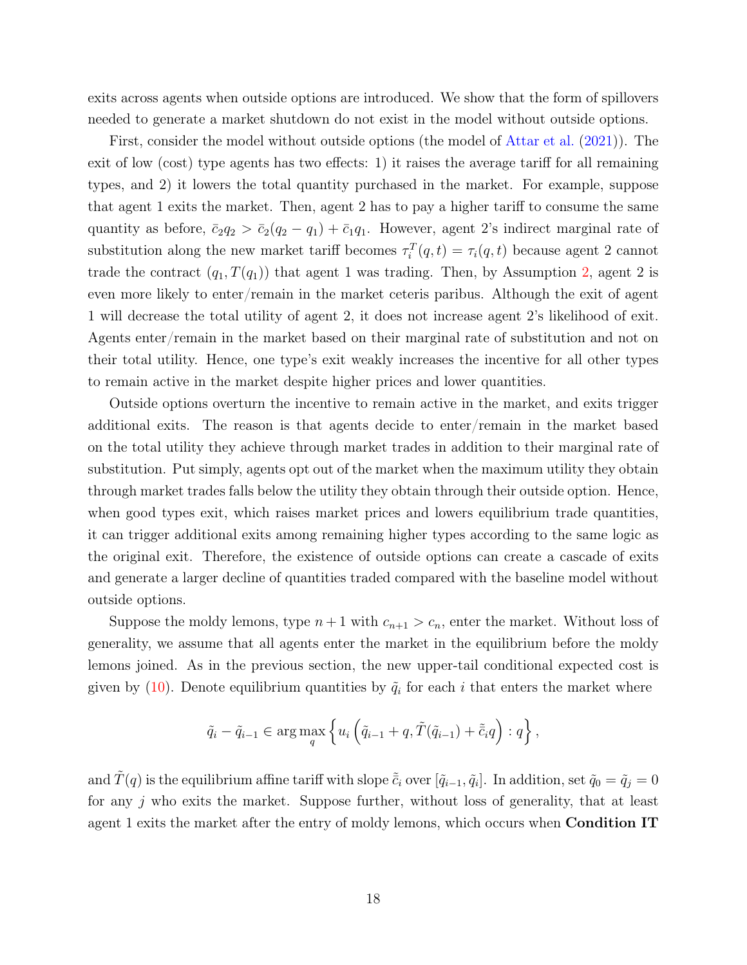exits across agents when outside options are introduced. We show that the form of spillovers needed to generate a market shutdown do not exist in the model without outside options.

First, consider the model without outside options (the model of [Attar et al.](#page-34-2) [\(2021\)](#page-34-2)). The exit of low (cost) type agents has two effects: 1) it raises the average tariff for all remaining types, and 2) it lowers the total quantity purchased in the market. For example, suppose that agent 1 exits the market. Then, agent 2 has to pay a higher tariff to consume the same quantity as before,  $\bar{c}_2q_2 > \bar{c}_2(q_2 - q_1) + \bar{c}_1q_1$ . However, agent 2's indirect marginal rate of substitution along the new market tariff becomes  $\tau_i^T(q,t) = \tau_i(q,t)$  because agent 2 cannot trade the contract  $(q_1, T(q_1))$  that agent 1 was trading. Then, by Assumption [2,](#page-12-2) agent 2 is even more likely to enter/remain in the market ceteris paribus. Although the exit of agent 1 will decrease the total utility of agent 2, it does not increase agent 2's likelihood of exit. Agents enter/remain in the market based on their marginal rate of substitution and not on their total utility. Hence, one type's exit weakly increases the incentive for all other types to remain active in the market despite higher prices and lower quantities.

Outside options overturn the incentive to remain active in the market, and exits trigger additional exits. The reason is that agents decide to enter/remain in the market based on the total utility they achieve through market trades in addition to their marginal rate of substitution. Put simply, agents opt out of the market when the maximum utility they obtain through market trades falls below the utility they obtain through their outside option. Hence, when good types exit, which raises market prices and lowers equilibrium trade quantities, it can trigger additional exits among remaining higher types according to the same logic as the original exit. Therefore, the existence of outside options can create a cascade of exits and generate a larger decline of quantities traded compared with the baseline model without outside options.

Suppose the moldy lemons, type  $n+1$  with  $c_{n+1} > c_n$ , enter the market. Without loss of generality, we assume that all agents enter the market in the equilibrium before the moldy lemons joined. As in the previous section, the new upper-tail conditional expected cost is given by [\(10\)](#page-14-0). Denote equilibrium quantities by  $\tilde{q}_i$  for each i that enters the market where

$$
\tilde{q}_i - \tilde{q}_{i-1} \in \arg\max_{q} \left\{ u_i \left( \tilde{q}_{i-1} + q, \tilde{T}(\tilde{q}_{i-1}) + \tilde{\bar{c}}_i q \right) : q \right\},\,
$$

and  $\tilde{T}(q)$  is the equilibrium affine tariff with slope  $\tilde{\bar{c}}_i$  over  $[\tilde{q}_{i-1}, \tilde{q}_i]$ . In addition, set  $\tilde{q}_0 = \tilde{q}_j = 0$ for any j who exits the market. Suppose further, without loss of generality, that at least agent 1 exits the market after the entry of moldy lemons, which occurs when Condition IT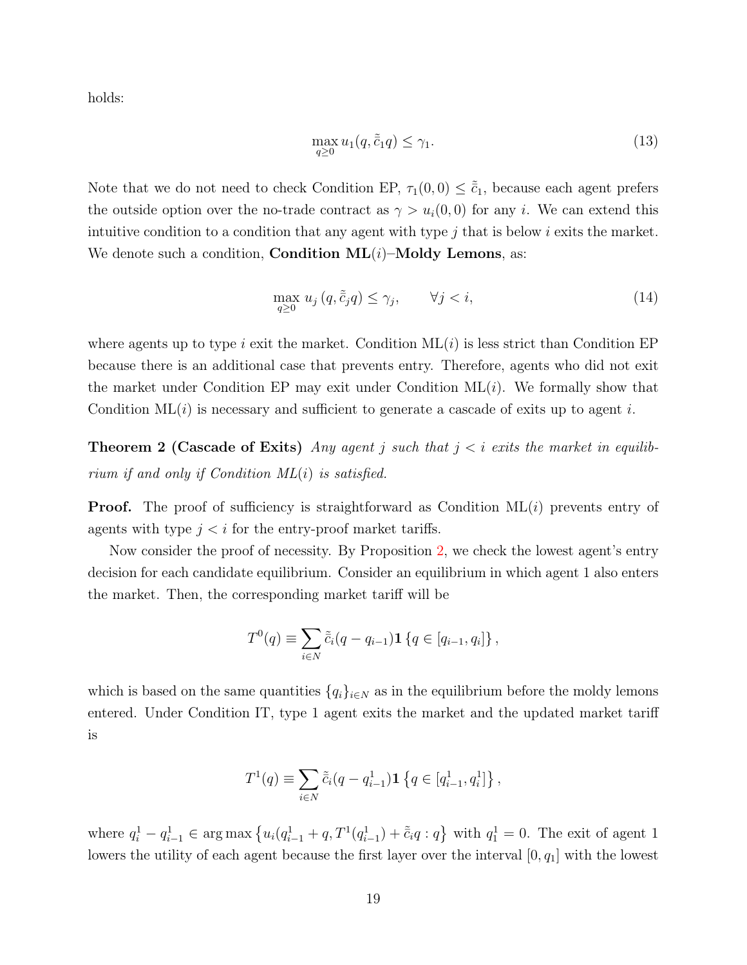holds:

$$
\max_{q\geq 0} u_1(q, \tilde{c}_1 q) \leq \gamma_1. \tag{13}
$$

Note that we do not need to check Condition EP,  $\tau_1(0,0) \leq \tilde{c}_1$ , because each agent prefers the outside option over the no-trade contract as  $\gamma > u_i(0,0)$  for any i. We can extend this intuitive condition to a condition that any agent with type  $j$  that is below  $i$  exits the market. We denote such a condition, **Condition ML** $(i)$ –**Moldy Lemons**, as:

$$
\max_{q\geq 0} u_j(q, \tilde{c}_j q) \leq \gamma_j, \qquad \forall j < i,\tag{14}
$$

where agents up to type i exit the market. Condition  $ML(i)$  is less strict than Condition EP because there is an additional case that prevents entry. Therefore, agents who did not exit the market under Condition EP may exit under Condition  $ML(i)$ . We formally show that Condition  $ML(i)$  is necessary and sufficient to generate a cascade of exits up to agent i.

**Theorem 2 (Cascade of Exits)** Any agent j such that  $j < i$  exits the market in equilibrium if and only if Condition  $ML(i)$  is satisfied.

**Proof.** The proof of sufficiency is straightforward as Condition  $ML(i)$  prevents entry of agents with type  $j < i$  for the entry-proof market tariffs.

Now consider the proof of necessity. By Proposition [2,](#page-18-0) we check the lowest agent's entry decision for each candidate equilibrium. Consider an equilibrium in which agent 1 also enters the market. Then, the corresponding market tariff will be

$$
T^{0}(q) \equiv \sum_{i \in N} \tilde{c}_{i}(q - q_{i-1}) \mathbf{1} \{ q \in [q_{i-1}, q_{i}] \},
$$

which is based on the same quantities  $\{q_i\}_{i\in\mathbb{N}}$  as in the equilibrium before the moldy lemons entered. Under Condition IT, type 1 agent exits the market and the updated market tariff is

$$
T^{1}(q) \equiv \sum_{i \in N} \tilde{\bar{c}}_{i}(q - q_{i-1}^{1}) \mathbf{1} \left\{ q \in [q_{i-1}^{1}, q_{i}^{1}] \right\},\,
$$

where  $q_i^1 - q_{i-1}^1 \in \arg \max \left\{ u_i (q_{i-1}^1 + q, T^1(q_{i-1}^1) + \tilde{c}_i q : q \right\}$  with  $q_1^1 = 0$ . The exit of agent 1 lowers the utility of each agent because the first layer over the interval  $[0, q_1]$  with the lowest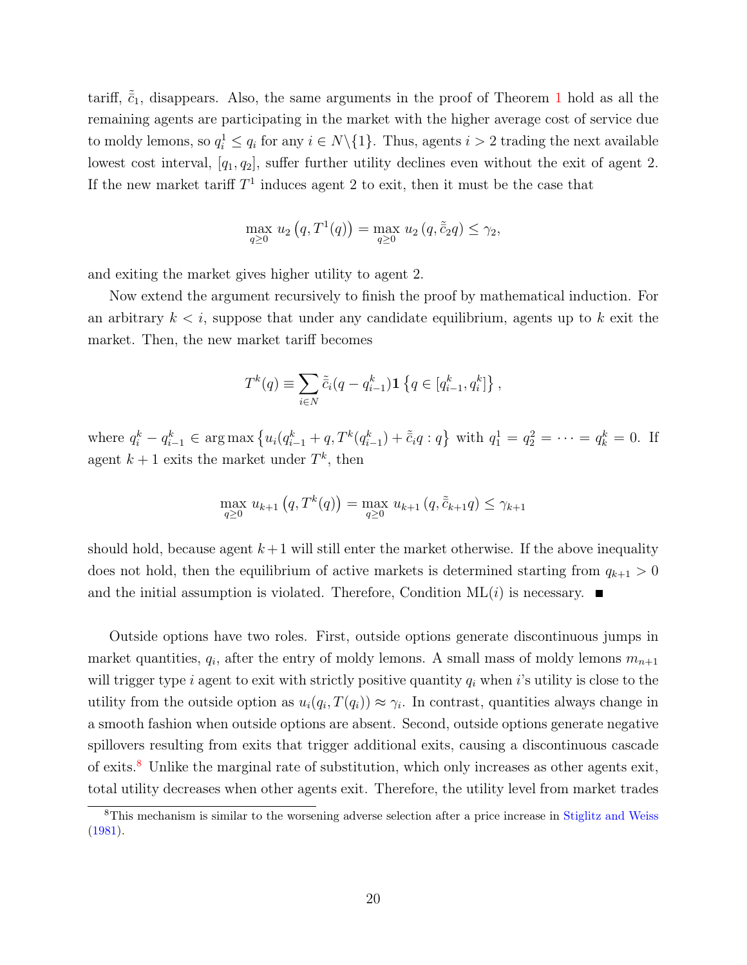tariff,  $\tilde{c}_1$  $\tilde{c}_1$ , disappears. Also, the same arguments in the proof of Theorem 1 hold as all the remaining agents are participating in the market with the higher average cost of service due to moldy lemons, so  $q_i^1 \le q_i$  for any  $i \in N \setminus \{1\}$ . Thus, agents  $i > 2$  trading the next available lowest cost interval,  $[q_1, q_2]$ , suffer further utility declines even without the exit of agent 2. If the new market tariff  $T<sup>1</sup>$  induces agent 2 to exit, then it must be the case that

$$
\max_{q \ge 0} u_2(q, T^1(q)) = \max_{q \ge 0} u_2(q, \tilde{c}_2 q) \le \gamma_2,
$$

and exiting the market gives higher utility to agent 2.

Now extend the argument recursively to finish the proof by mathematical induction. For an arbitrary  $k < i$ , suppose that under any candidate equilibrium, agents up to k exit the market. Then, the new market tariff becomes

$$
T^{k}(q) \equiv \sum_{i \in N} \tilde{\bar{c}}_{i}(q - q_{i-1}^{k}) \mathbf{1} \left\{ q \in [q_{i-1}^{k}, q_{i}^{k}] \right\},\,
$$

where  $q_i^k - q_{i-1}^k \in \arg \max \left\{ u_i (q_{i-1}^k + q, T^k(q_{i-1}^k) + \tilde{c}_i q : q \right\}$  with  $q_1^1 = q_2^2 = \cdots = q_k^k = 0$ . If agent  $k+1$  exits the market under  $T^k$ , then

$$
\max_{q \ge 0} u_{k+1}(q, T^k(q)) = \max_{q \ge 0} u_{k+1}(q, \tilde{c}_{k+1}q) \le \gamma_{k+1}
$$

should hold, because agent  $k+1$  will still enter the market otherwise. If the above inequality does not hold, then the equilibrium of active markets is determined starting from  $q_{k+1} > 0$ and the initial assumption is violated. Therefore, Condition  $ML(i)$  is necessary.

Outside options have two roles. First, outside options generate discontinuous jumps in market quantities,  $q_i$ , after the entry of moldy lemons. A small mass of moldy lemons  $m_{n+1}$ will trigger type i agent to exit with strictly positive quantity  $q_i$  when i's utility is close to the utility from the outside option as  $u_i(q_i, T(q_i)) \approx \gamma_i$ . In contrast, quantities always change in a smooth fashion when outside options are absent. Second, outside options generate negative spillovers resulting from exits that trigger additional exits, causing a discontinuous cascade of exits.[8](#page-21-0) Unlike the marginal rate of substitution, which only increases as other agents exit, total utility decreases when other agents exit. Therefore, the utility level from market trades

<span id="page-21-0"></span><sup>8</sup>This mechanism is similar to the worsening adverse selection after a price increase in [Stiglitz and Weiss](#page-36-5) [\(1981\)](#page-36-5).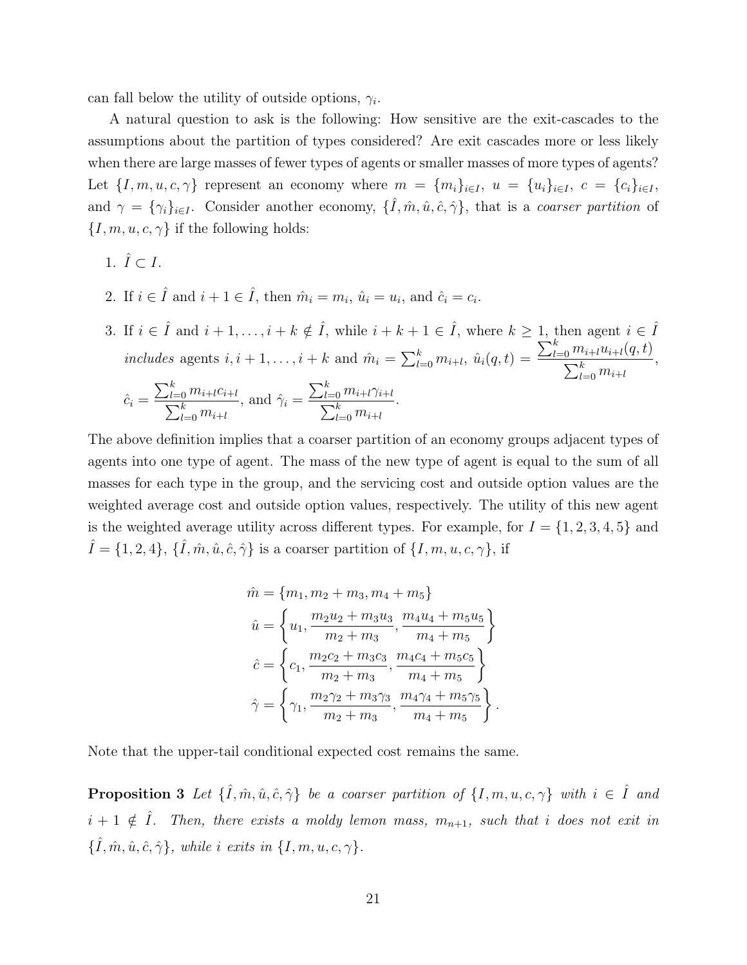can fall below the utility of outside options,  $\gamma_i$ .

A natural question to ask is the following: How sensitive are the exit-cascades to the assumptions about the partition of types considered? Are exit cascades more or less likely when there are large masses of fewer types of agents or smaller masses of more types of agents? Let  $\{I, m, u, c, \gamma\}$  represent an economy where  $m = \{m_i\}_{i \in I}$ ,  $u = \{u_i\}_{i \in I}$ ,  $c = \{c_i\}_{i \in I}$ , and  $\gamma = {\gamma_i}_{i \in I}$ . Consider another economy,  ${\{\hat{I}, \hat{m}, \hat{u}, \hat{c}, \hat{\gamma}\}}$ , that is a *coarser partition* of  $\{I, m, u, c, \gamma\}$  if the following holds:

- 1.  $\hat{I} \subset I$ .
- 2. If  $i \in \hat{I}$  and  $i + 1 \in \hat{I}$ , then  $\hat{m}_i = m_i$ ,  $\hat{u}_i = u_i$ , and  $\hat{c}_i = c_i$ .
- 3. If  $i \in \hat{I}$  and  $i + 1, \ldots, i + k \notin \hat{I}$ , while  $i + k + 1 \in \hat{I}$ , where  $k \ge 1$ , then agent  $i \in \hat{I}$ includes agents  $i, i + 1, \ldots, i + k$  and  $\hat{m}_i = \sum_{l=0}^k m_{i+l}, \hat{u}_i(q, t) =$  $\sum_{l=0}^{k} m_{i+l} u_{i+l}(q, t)$  $\sum_{l=0}^k m_{i+l}$ ,  $\hat{c}_i =$  $\sum_{l=0}^k m_{i+l}c_{i+l}$  $\sum_{l=0}^k m_{i+l}$ , and  $\hat{\gamma}_i =$  $\sum_{l=0}^k m_{i+l}\gamma_{i+l}$  $\sum_{l=0}^k m_{i+l}$ .

The above definition implies that a coarser partition of an economy groups adjacent types of agents into one type of agent. The mass of the new type of agent is equal to the sum of all masses for each type in the group, and the servicing cost and outside option values are the weighted average cost and outside option values, respectively. The utility of this new agent is the weighted average utility across different types. For example, for  $I = \{1, 2, 3, 4, 5\}$  and  $\hat{I} = \{1, 2, 4\}, \{\hat{I}, \hat{m}, \hat{u}, \hat{c}, \hat{\gamma}\}\$ is a coarser partition of  $\{I, m, u, c, \gamma\}\$ , if

$$
\hat{m} = \{m_1, m_2 + m_3, m_4 + m_5\}
$$
\n
$$
\hat{u} = \left\{u_1, \frac{m_2 u_2 + m_3 u_3}{m_2 + m_3}, \frac{m_4 u_4 + m_5 u_5}{m_4 + m_5}\right\}
$$
\n
$$
\hat{c} = \left\{c_1, \frac{m_2 c_2 + m_3 c_3}{m_2 + m_3}, \frac{m_4 c_4 + m_5 c_5}{m_4 + m_5}\right\}
$$
\n
$$
\hat{\gamma} = \left\{\gamma_1, \frac{m_2 \gamma_2 + m_3 \gamma_3}{m_2 + m_3}, \frac{m_4 \gamma_4 + m_5 \gamma_5}{m_4 + m_5}\right\}.
$$

<span id="page-22-0"></span>Note that the upper-tail conditional expected cost remains the same.

**Proposition 3** Let  $\{\hat{I}, \hat{m}, \hat{u}, \hat{c}, \hat{\gamma}\}\$  be a coarser partition of  $\{I, m, u, c, \gamma\}\$  with  $i \in \hat{I}$  and  $i+1 \notin \hat{I}$ . Then, there exists a moldy lemon mass,  $m_{n+1}$ , such that i does not exit in  $\{\hat{I}, \hat{m}, \hat{u}, \hat{c}, \hat{\gamma}\}\,$ , while i exits in  $\{I, m, u, c, \gamma\}\,$ .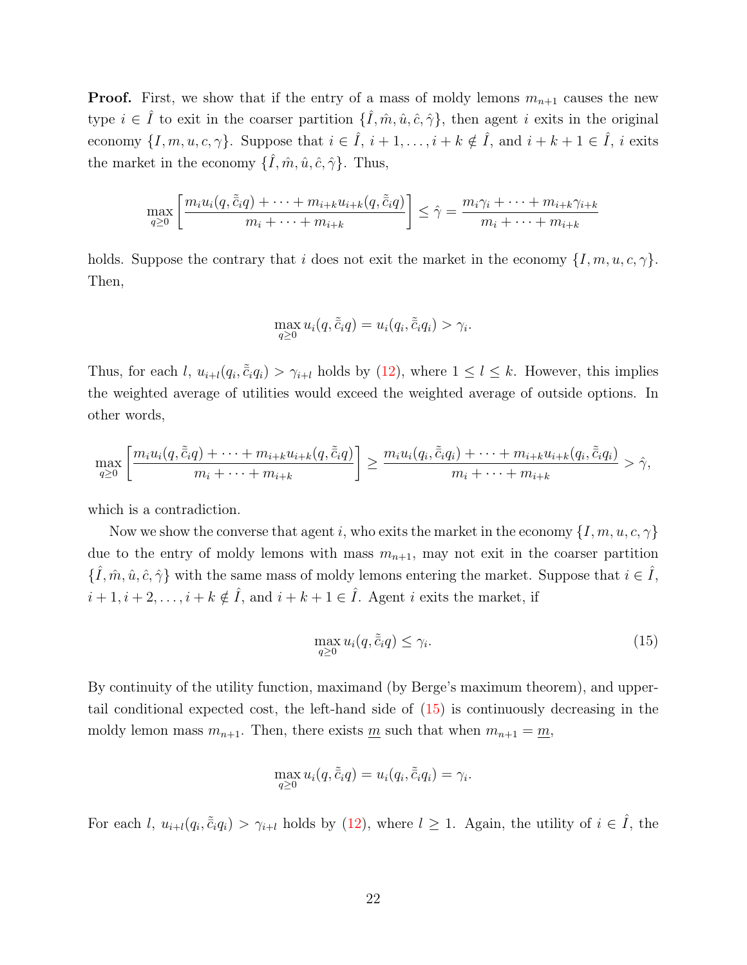**Proof.** First, we show that if the entry of a mass of moldy lemons  $m_{n+1}$  causes the new type  $i \in \hat{I}$  to exit in the coarser partition  $\{\hat{I}, \hat{m}, \hat{u}, \hat{c}, \hat{\gamma}\}\,$ , then agent i exits in the original economy  $\{I, m, u, c, \gamma\}$ . Suppose that  $i \in \hat{I}$ ,  $i + 1, \ldots, i + k \notin \hat{I}$ , and  $i + k + 1 \in \hat{I}$ , i exits the market in the economy  $\{\hat{I}, \hat{m}, \hat{u}, \hat{c}, \hat{\gamma}\}\$ . Thus,

$$
\max_{q\geq 0} \left[ \frac{m_i u_i(q, \tilde{c}_i q) + \dots + m_{i+k} u_{i+k}(q, \tilde{c}_i q)}{m_i + \dots + m_{i+k}} \right] \leq \hat{\gamma} = \frac{m_i \gamma_i + \dots + m_{i+k} \gamma_{i+k}}{m_i + \dots + m_{i+k}}
$$

holds. Suppose the contrary that i does not exit the market in the economy  $\{I, m, u, c, \gamma\}$ . Then,

$$
\max_{q\geq 0} u_i(q,\tilde{\bar{c}}_iq) = u_i(q_i,\tilde{\bar{c}}_iq_i) > \gamma_i.
$$

Thus, for each l,  $u_{i+l}(q_i, \tilde{c}_i q_i) > \gamma_{i+l}$  holds by [\(12\)](#page-18-1), where  $1 \leq l \leq k$ . However, this implies the weighted average of utilities would exceed the weighted average of outside options. In other words,

$$
\max_{q\geq 0} \left[ \frac{m_i u_i(q, \tilde{\tilde{c}}_i q) + \dots + m_{i+k} u_{i+k}(q, \tilde{\tilde{c}}_i q)}{m_i + \dots + m_{i+k}} \right] \geq \frac{m_i u_i(q_i, \tilde{\tilde{c}}_i q_i) + \dots + m_{i+k} u_{i+k}(q_i, \tilde{\tilde{c}}_i q_i)}{m_i + \dots + m_{i+k}} > \hat{\gamma},
$$

which is a contradiction.

Now we show the converse that agent i, who exits the market in the economy  $\{I, m, u, c, \gamma\}$ due to the entry of moldy lemons with mass  $m_{n+1}$ , may not exit in the coarser partition  $\{\hat{I}, \hat{m}, \hat{u}, \hat{c}, \hat{\gamma}\}\$  with the same mass of moldy lemons entering the market. Suppose that  $i \in \hat{I}$ ,  $i+1, i+2, \ldots, i+k \notin \hat{I}$ , and  $i+k+1 \in \hat{I}$ . Agent i exits the market, if

<span id="page-23-0"></span>
$$
\max_{q\geq 0} u_i(q, \tilde{\bar{c}}_i q) \leq \gamma_i. \tag{15}
$$

By continuity of the utility function, maximand (by Berge's maximum theorem), and uppertail conditional expected cost, the left-hand side of [\(15\)](#page-23-0) is continuously decreasing in the moldy lemon mass  $m_{n+1}$ . Then, there exists <u>m</u> such that when  $m_{n+1} = m$ ,

$$
\max_{q\geq 0} u_i(q,\tilde{\bar{c}}_iq) = u_i(q_i,\tilde{\bar{c}}_iq_i) = \gamma_i.
$$

For each l,  $u_{i+l}(q_i, \tilde{c}_i q_i) > \gamma_{i+l}$  holds by [\(12\)](#page-18-1), where  $l \geq 1$ . Again, the utility of  $i \in \hat{I}$ , the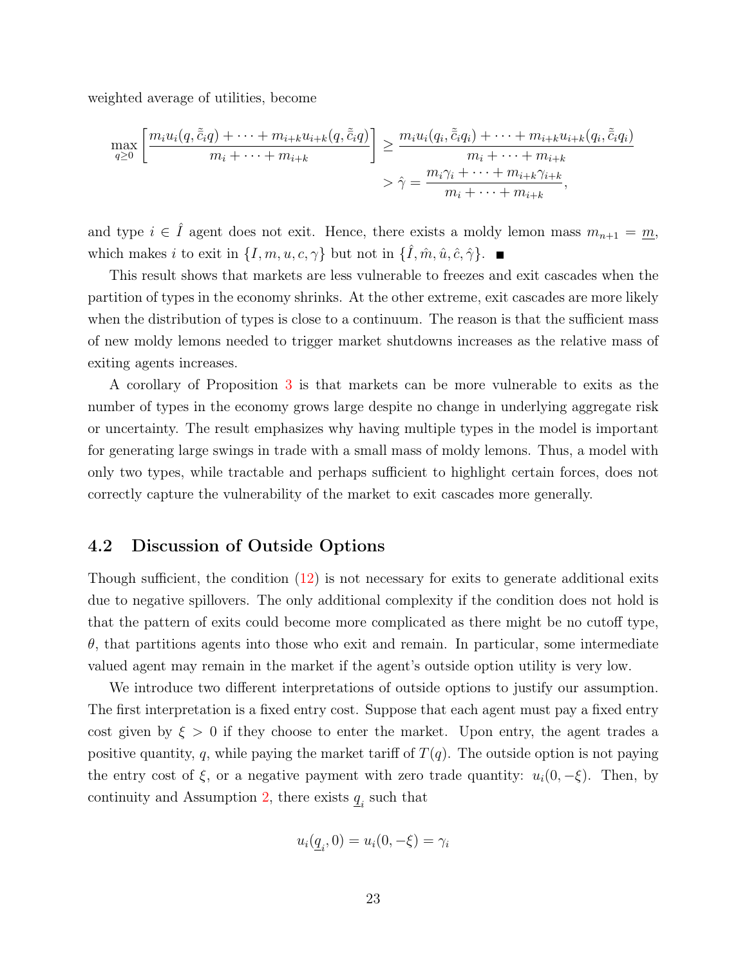weighted average of utilities, become

$$
\max_{q\geq 0} \left[ \frac{m_i u_i(q, \tilde{c}_i q) + \dots + m_{i+k} u_{i+k}(q, \tilde{c}_i q)}{m_i + \dots + m_{i+k}} \right] \geq \frac{m_i u_i(q_i, \tilde{c}_i q_i) + \dots + m_{i+k} u_{i+k}(q_i, \tilde{c}_i q_i)}{m_i + \dots + m_{i+k}} > \hat{\gamma} = \frac{m_i \gamma_i + \dots + m_{i+k} \gamma_{i+k}}{m_i + \dots + m_{i+k}},
$$

and type  $i \in \hat{I}$  agent does not exit. Hence, there exists a moldy lemon mass  $m_{n+1} = \underline{m}$ , which makes i to exit in  $\{I, m, u, c, \gamma\}$  but not in  $\{\hat{I}, \hat{m}, \hat{u}, \hat{c}, \hat{\gamma}\}.$ 

This result shows that markets are less vulnerable to freezes and exit cascades when the partition of types in the economy shrinks. At the other extreme, exit cascades are more likely when the distribution of types is close to a continuum. The reason is that the sufficient mass of new moldy lemons needed to trigger market shutdowns increases as the relative mass of exiting agents increases.

A corollary of Proposition [3](#page-22-0) is that markets can be more vulnerable to exits as the number of types in the economy grows large despite no change in underlying aggregate risk or uncertainty. The result emphasizes why having multiple types in the model is important for generating large swings in trade with a small mass of moldy lemons. Thus, a model with only two types, while tractable and perhaps sufficient to highlight certain forces, does not correctly capture the vulnerability of the market to exit cascades more generally.

#### <span id="page-24-0"></span>4.2 Discussion of Outside Options

Though sufficient, the condition [\(12\)](#page-18-1) is not necessary for exits to generate additional exits due to negative spillovers. The only additional complexity if the condition does not hold is that the pattern of exits could become more complicated as there might be no cutoff type,  $\theta$ , that partitions agents into those who exit and remain. In particular, some intermediate valued agent may remain in the market if the agent's outside option utility is very low.

We introduce two different interpretations of outside options to justify our assumption. The first interpretation is a fixed entry cost. Suppose that each agent must pay a fixed entry cost given by  $\xi > 0$  if they choose to enter the market. Upon entry, the agent trades a positive quantity, q, while paying the market tariff of  $T(q)$ . The outside option is not paying the entry cost of  $\xi$ , or a negative payment with zero trade quantity:  $u_i(0, -\xi)$ . Then, by continuity and Assumption [2,](#page-12-2) there exists  $\underline{q}_i$  such that

$$
u_i(\underline{q}_i,0) = u_i(0,-\xi) = \gamma_i
$$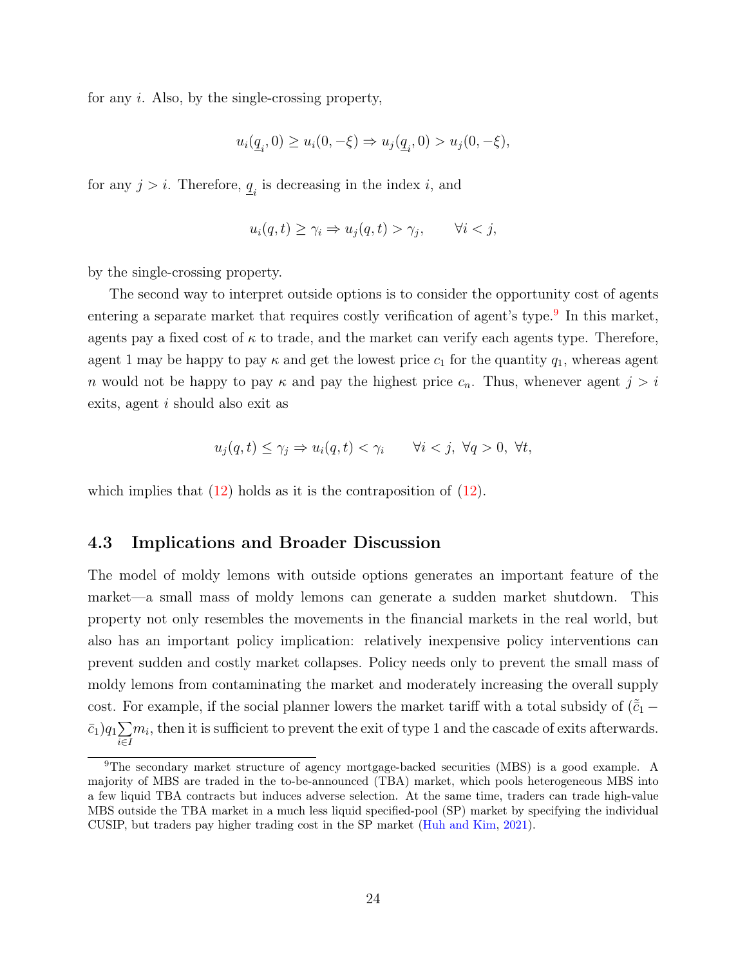for any i. Also, by the single-crossing property,

$$
u_i(\underline{q}_i, 0) \ge u_i(0, -\xi) \Rightarrow u_j(\underline{q}_i, 0) > u_j(0, -\xi),
$$

for any  $j > i$ . Therefore,  $\underline{q}_i$  is decreasing in the index i, and

$$
u_i(q, t) \ge \gamma_i \Rightarrow u_j(q, t) > \gamma_j, \qquad \forall i < j,
$$

by the single-crossing property.

The second way to interpret outside options is to consider the opportunity cost of agents entering a separate market that requires costly verification of agent's type.<sup>[9](#page-25-0)</sup> In this market, agents pay a fixed cost of  $\kappa$  to trade, and the market can verify each agents type. Therefore, agent 1 may be happy to pay  $\kappa$  and get the lowest price  $c_1$  for the quantity  $q_1$ , whereas agent n would not be happy to pay  $\kappa$  and pay the highest price  $c_n$ . Thus, whenever agent  $j > i$ exits, agent i should also exit as

$$
u_j(q,t) \le \gamma_j \Rightarrow u_i(q,t) < \gamma_i \qquad \forall i < j, \ \forall q > 0, \ \forall t,
$$

which implies that  $(12)$  holds as it is the contraposition of  $(12)$ .

### 4.3 Implications and Broader Discussion

The model of moldy lemons with outside options generates an important feature of the market—a small mass of moldy lemons can generate a sudden market shutdown. This property not only resembles the movements in the financial markets in the real world, but also has an important policy implication: relatively inexpensive policy interventions can prevent sudden and costly market collapses. Policy needs only to prevent the small mass of moldy lemons from contaminating the market and moderately increasing the overall supply cost. For example, if the social planner lowers the market tariff with a total subsidy of  $(\tilde{c}_1 \bar{c}_1)q_1\sum$ i∈I  $m_i$ , then it is sufficient to prevent the exit of type 1 and the cascade of exits afterwards.

<span id="page-25-0"></span><sup>9</sup>The secondary market structure of agency mortgage-backed securities (MBS) is a good example. A majority of MBS are traded in the to-be-announced (TBA) market, which pools heterogeneous MBS into a few liquid TBA contracts but induces adverse selection. At the same time, traders can trade high-value MBS outside the TBA market in a much less liquid specified-pool (SP) market by specifying the individual CUSIP, but traders pay higher trading cost in the SP market [\(Huh and Kim,](#page-35-13) [2021\)](#page-35-13).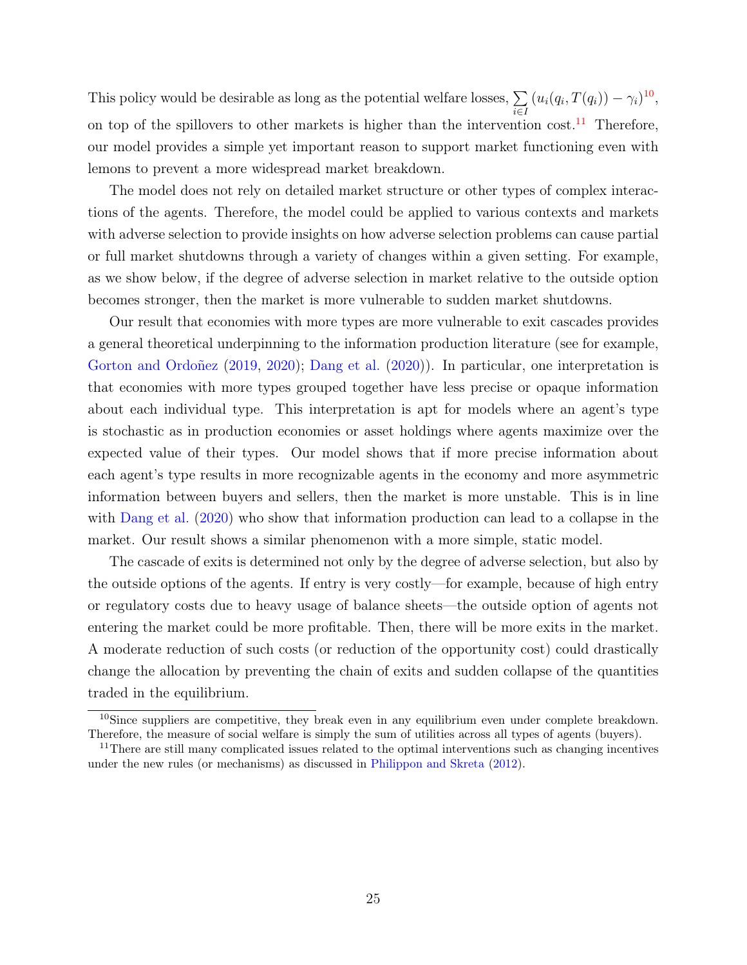This policy would be desirable as long as the potential welfare losses,  $\Sigma$ i∈I  $(u_i(q_i, T(q_i)) - \gamma_i)^{10}$  $(u_i(q_i, T(q_i)) - \gamma_i)^{10}$  $(u_i(q_i, T(q_i)) - \gamma_i)^{10}$ on top of the spillovers to other markets is higher than the intervention cost.<sup>[11](#page-26-1)</sup> Therefore, our model provides a simple yet important reason to support market functioning even with lemons to prevent a more widespread market breakdown.

The model does not rely on detailed market structure or other types of complex interactions of the agents. Therefore, the model could be applied to various contexts and markets with adverse selection to provide insights on how adverse selection problems can cause partial or full market shutdowns through a variety of changes within a given setting. For example, as we show below, if the degree of adverse selection in market relative to the outside option becomes stronger, then the market is more vulnerable to sudden market shutdowns.

Our result that economies with more types are more vulnerable to exit cascades provides a general theoretical underpinning to the information production literature (see for example, [Gorton and Ordoñez](#page-35-6) [\(2019,](#page-35-6) [2020\)](#page-35-7); [Dang et al.](#page-35-3) [\(2020\)](#page-35-3)). In particular, one interpretation is that economies with more types grouped together have less precise or opaque information about each individual type. This interpretation is apt for models where an agent's type is stochastic as in production economies or asset holdings where agents maximize over the expected value of their types. Our model shows that if more precise information about each agent's type results in more recognizable agents in the economy and more asymmetric information between buyers and sellers, then the market is more unstable. This is in line with [Dang et al.](#page-35-3) [\(2020\)](#page-35-3) who show that information production can lead to a collapse in the market. Our result shows a similar phenomenon with a more simple, static model.

The cascade of exits is determined not only by the degree of adverse selection, but also by the outside options of the agents. If entry is very costly—for example, because of high entry or regulatory costs due to heavy usage of balance sheets—the outside option of agents not entering the market could be more profitable. Then, there will be more exits in the market. A moderate reduction of such costs (or reduction of the opportunity cost) could drastically change the allocation by preventing the chain of exits and sudden collapse of the quantities traded in the equilibrium.

<span id="page-26-0"></span><sup>&</sup>lt;sup>10</sup>Since suppliers are competitive, they break even in any equilibrium even under complete breakdown. Therefore, the measure of social welfare is simply the sum of utilities across all types of agents (buyers).

<span id="page-26-1"></span><sup>&</sup>lt;sup>11</sup>There are still many complicated issues related to the optimal interventions such as changing incentives under the new rules (or mechanisms) as discussed in [Philippon and Skreta](#page-36-3) [\(2012\)](#page-36-3).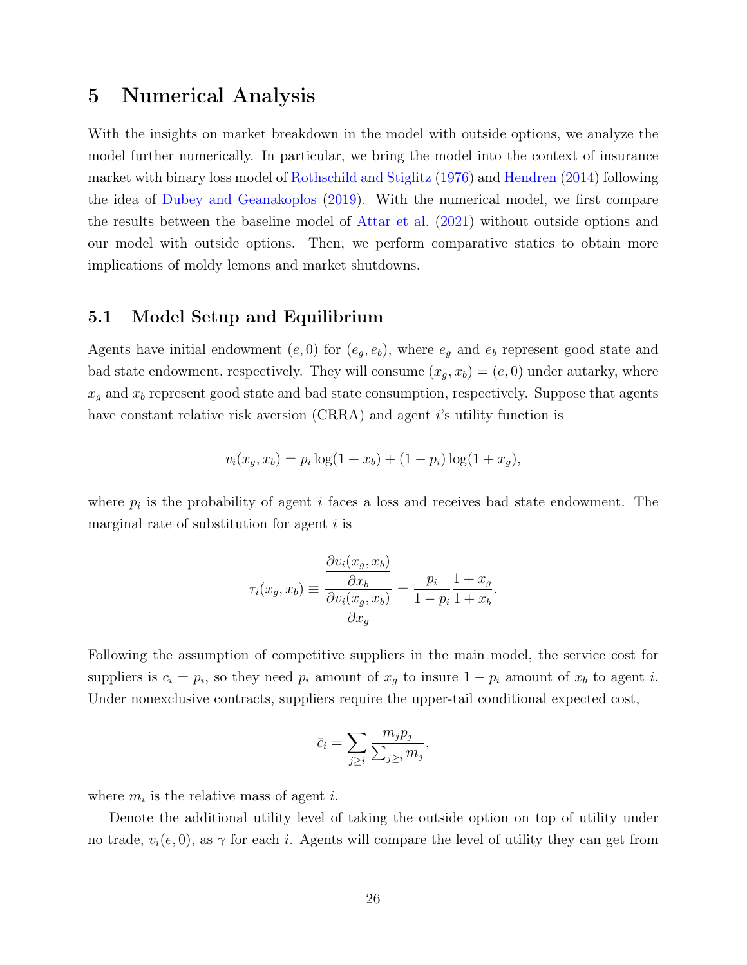# 5 Numerical Analysis

With the insights on market breakdown in the model with outside options, we analyze the model further numerically. In particular, we bring the model into the context of insurance market with binary loss model of [Rothschild and Stiglitz](#page-36-1) [\(1976\)](#page-36-1) and [Hendren](#page-35-5) [\(2014\)](#page-35-5) following the idea of [Dubey and Geanakoplos](#page-35-2) [\(2019\)](#page-35-2). With the numerical model, we first compare the results between the baseline model of [Attar et al.](#page-34-2) [\(2021\)](#page-34-2) without outside options and our model with outside options. Then, we perform comparative statics to obtain more implications of moldy lemons and market shutdowns.

### 5.1 Model Setup and Equilibrium

Agents have initial endowment  $(e, 0)$  for  $(e_g, e_b)$ , where  $e_g$  and  $e_b$  represent good state and bad state endowment, respectively. They will consume  $(x_g, x_b) = (e, 0)$  under autarky, where  $x_g$  and  $x_b$  represent good state and bad state consumption, respectively. Suppose that agents have constant relative risk aversion (CRRA) and agent is utility function is

$$
v_i(x_g, x_b) = p_i \log(1 + x_b) + (1 - p_i) \log(1 + x_g),
$$

where  $p_i$  is the probability of agent i faces a loss and receives bad state endowment. The marginal rate of substitution for agent  $i$  is

$$
\tau_i(x_g, x_b) \equiv \frac{\frac{\partial v_i(x_g, x_b)}{\partial x_b}}{\frac{\partial v_i(x_g, x_b)}{\partial x_g}} = \frac{p_i}{1 - p_i} \frac{1 + x_g}{1 + x_b}.
$$

Following the assumption of competitive suppliers in the main model, the service cost for suppliers is  $c_i = p_i$ , so they need  $p_i$  amount of  $x_g$  to insure  $1 - p_i$  amount of  $x_b$  to agent i. Under nonexclusive contracts, suppliers require the upper-tail conditional expected cost,

$$
\bar{c}_i = \sum_{j \geq i} \frac{m_j p_j}{\sum_{j \geq i} m_j},
$$

where  $m_i$  is the relative mass of agent *i*.

Denote the additional utility level of taking the outside option on top of utility under no trade,  $v_i(e, 0)$ , as  $\gamma$  for each i. Agents will compare the level of utility they can get from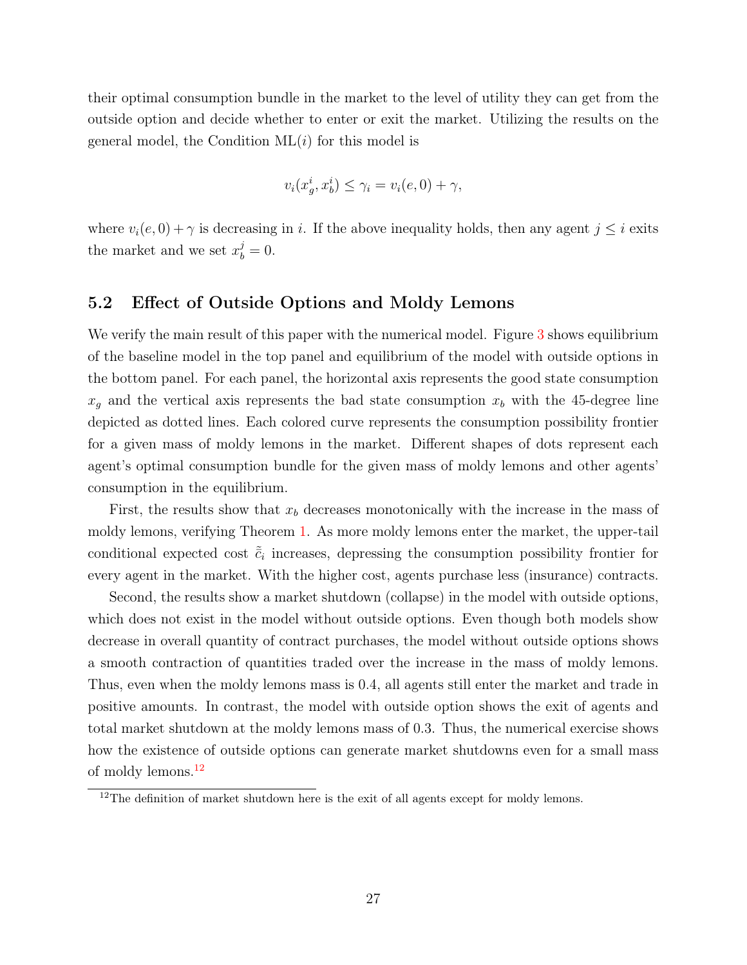their optimal consumption bundle in the market to the level of utility they can get from the outside option and decide whether to enter or exit the market. Utilizing the results on the general model, the Condition  $ML(i)$  for this model is

$$
v_i(x_g^i, x_b^i) \le \gamma_i = v_i(e, 0) + \gamma,
$$

where  $v_i(e, 0) + \gamma$  is decreasing in i. If the above inequality holds, then any agent  $j \leq i$  exits the market and we set  $x_b^j = 0$ .

### 5.2 Effect of Outside Options and Moldy Lemons

We verify the main result of this paper with the numerical model. Figure [3](#page-29-0) shows equilibrium of the baseline model in the top panel and equilibrium of the model with outside options in the bottom panel. For each panel, the horizontal axis represents the good state consumption  $x_g$  and the vertical axis represents the bad state consumption  $x_b$  with the 45-degree line depicted as dotted lines. Each colored curve represents the consumption possibility frontier for a given mass of moldy lemons in the market. Different shapes of dots represent each agent's optimal consumption bundle for the given mass of moldy lemons and other agents' consumption in the equilibrium.

First, the results show that  $x_b$  decreases monotonically with the increase in the mass of moldy lemons, verifying Theorem [1.](#page-15-0) As more moldy lemons enter the market, the upper-tail conditional expected cost  $\tilde{\bar{c}}_i$  increases, depressing the consumption possibility frontier for every agent in the market. With the higher cost, agents purchase less (insurance) contracts.

Second, the results show a market shutdown (collapse) in the model with outside options, which does not exist in the model without outside options. Even though both models show decrease in overall quantity of contract purchases, the model without outside options shows a smooth contraction of quantities traded over the increase in the mass of moldy lemons. Thus, even when the moldy lemons mass is 0.4, all agents still enter the market and trade in positive amounts. In contrast, the model with outside option shows the exit of agents and total market shutdown at the moldy lemons mass of 0.3. Thus, the numerical exercise shows how the existence of outside options can generate market shutdowns even for a small mass of moldy lemons.[12](#page-28-0)

<span id="page-28-0"></span> $12$ The definition of market shutdown here is the exit of all agents except for moldy lemons.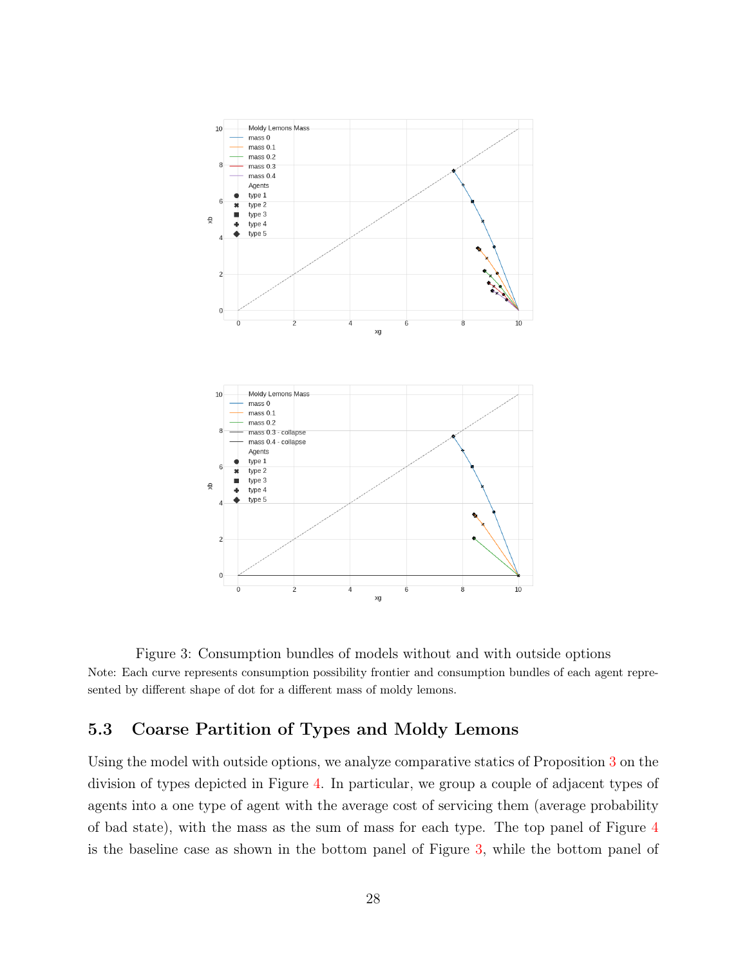<span id="page-29-0"></span>

Figure 3: Consumption bundles of models without and with outside options Note: Each curve represents consumption possibility frontier and consumption bundles of each agent represented by different shape of dot for a different mass of moldy lemons.

### 5.3 Coarse Partition of Types and Moldy Lemons

Using the model with outside options, we analyze comparative statics of Proposition [3](#page-22-0) on the division of types depicted in Figure [4.](#page-30-0) In particular, we group a couple of adjacent types of agents into a one type of agent with the average cost of servicing them (average probability of bad state), with the mass as the sum of mass for each type. The top panel of Figure [4](#page-30-0) is the baseline case as shown in the bottom panel of Figure [3,](#page-29-0) while the bottom panel of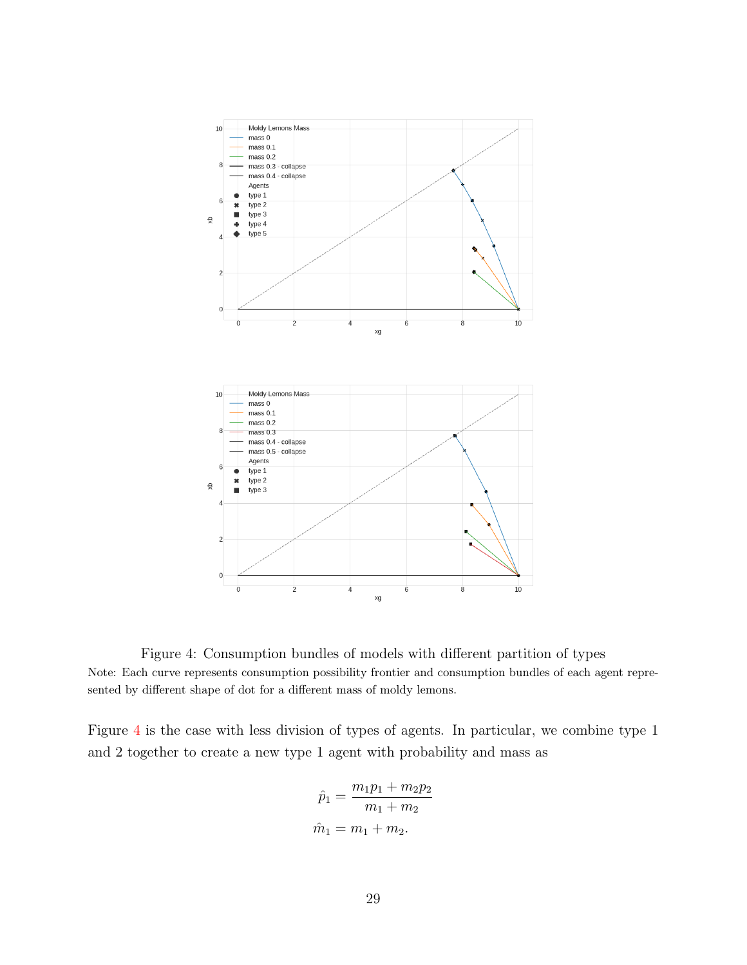<span id="page-30-0"></span>

Figure 4: Consumption bundles of models with different partition of types Note: Each curve represents consumption possibility frontier and consumption bundles of each agent represented by different shape of dot for a different mass of moldy lemons.

Figure [4](#page-30-0) is the case with less division of types of agents. In particular, we combine type 1 and 2 together to create a new type 1 agent with probability and mass as

$$
\hat{p}_1 = \frac{m_1 p_1 + m_2 p_2}{m_1 + m_2}
$$

$$
\hat{m}_1 = m_1 + m_2.
$$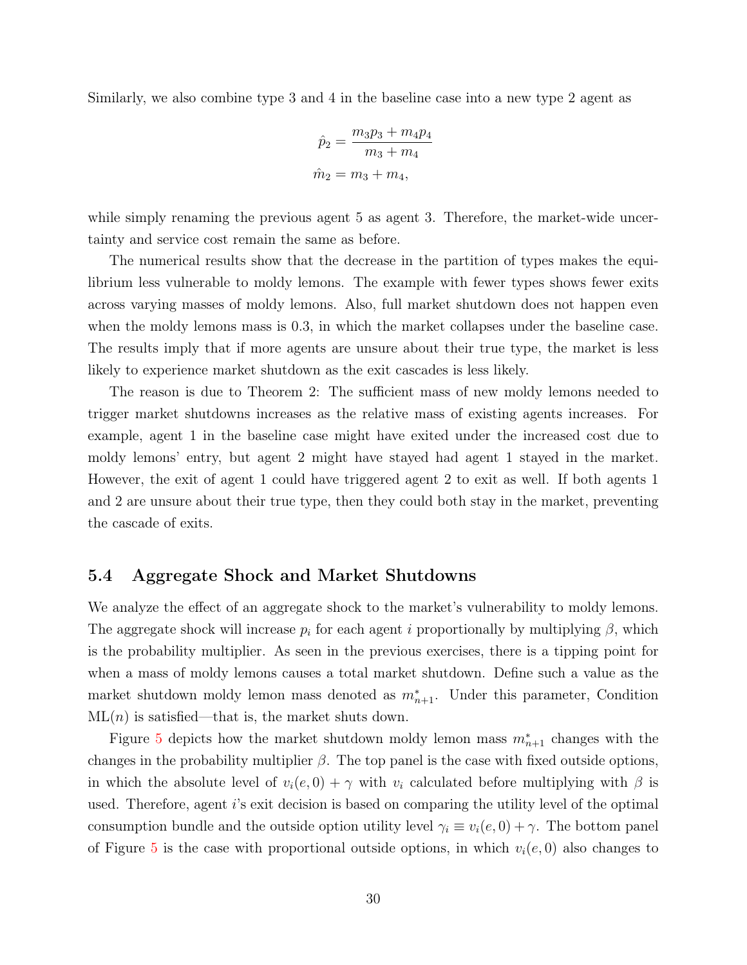Similarly, we also combine type 3 and 4 in the baseline case into a new type 2 agent as

$$
\hat{p}_2 = \frac{m_3 p_3 + m_4 p_4}{m_3 + m_4}
$$

$$
\hat{m}_2 = m_3 + m_4,
$$

while simply renaming the previous agent 5 as agent 3. Therefore, the market-wide uncertainty and service cost remain the same as before.

The numerical results show that the decrease in the partition of types makes the equilibrium less vulnerable to moldy lemons. The example with fewer types shows fewer exits across varying masses of moldy lemons. Also, full market shutdown does not happen even when the moldy lemons mass is 0.3, in which the market collapses under the baseline case. The results imply that if more agents are unsure about their true type, the market is less likely to experience market shutdown as the exit cascades is less likely.

The reason is due to Theorem 2: The sufficient mass of new moldy lemons needed to trigger market shutdowns increases as the relative mass of existing agents increases. For example, agent 1 in the baseline case might have exited under the increased cost due to moldy lemons' entry, but agent 2 might have stayed had agent 1 stayed in the market. However, the exit of agent 1 could have triggered agent 2 to exit as well. If both agents 1 and 2 are unsure about their true type, then they could both stay in the market, preventing the cascade of exits.

### 5.4 Aggregate Shock and Market Shutdowns

We analyze the effect of an aggregate shock to the market's vulnerability to moldy lemons. The aggregate shock will increase  $p_i$  for each agent i proportionally by multiplying  $\beta$ , which is the probability multiplier. As seen in the previous exercises, there is a tipping point for when a mass of moldy lemons causes a total market shutdown. Define such a value as the market shutdown moldy lemon mass denoted as  $m^*_{n+1}$ . Under this parameter, Condition  $ML(n)$  is satisfied—that is, the market shuts down.

Figure [5](#page-32-0) depicts how the market shutdown moldy lemon mass  $m_{n+1}^*$  changes with the changes in the probability multiplier  $\beta$ . The top panel is the case with fixed outside options, in which the absolute level of  $v_i(e, 0) + \gamma$  with  $v_i$  calculated before multiplying with  $\beta$  is used. Therefore, agent i's exit decision is based on comparing the utility level of the optimal consumption bundle and the outside option utility level  $\gamma_i \equiv v_i(e, 0) + \gamma$ . The bottom panel of Figure [5](#page-32-0) is the case with proportional outside options, in which  $v_i(e, 0)$  also changes to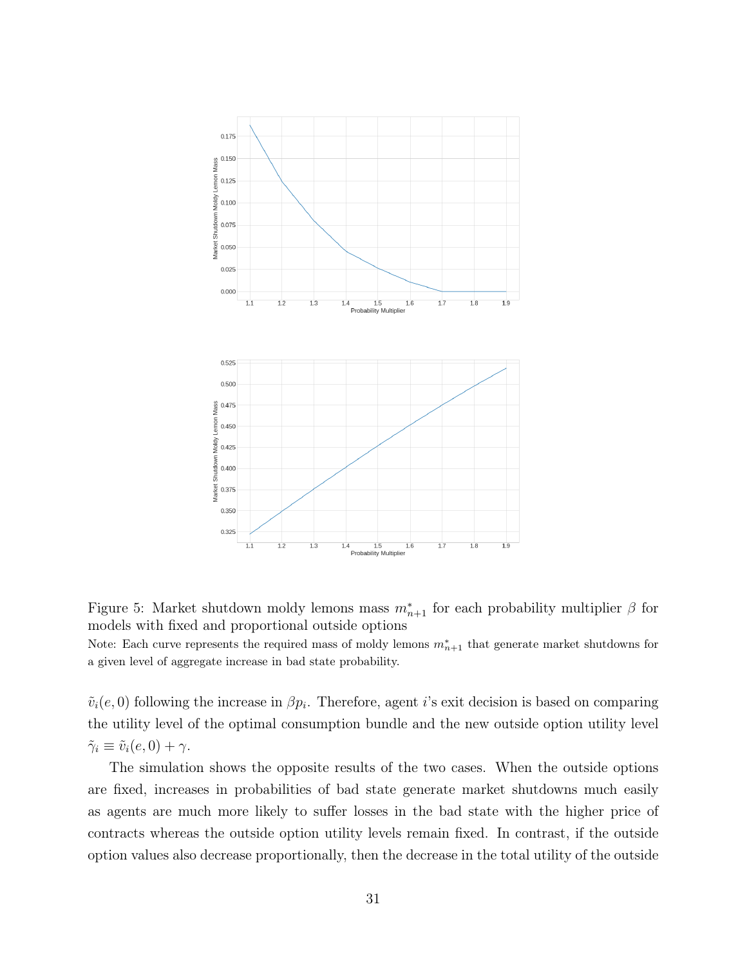<span id="page-32-0"></span>

Figure 5: Market shutdown moldy lemons mass  $m_{n+1}^*$  for each probability multiplier  $\beta$  for models with fixed and proportional outside options

Note: Each curve represents the required mass of moldy lemons  $m_{n+1}^*$  that generate market shutdowns for a given level of aggregate increase in bad state probability.

 $\tilde{v}_i(e, 0)$  following the increase in  $\beta p_i$ . Therefore, agent i's exit decision is based on comparing the utility level of the optimal consumption bundle and the new outside option utility level  $\tilde{\gamma}_i \equiv \tilde{v}_i(e, 0) + \gamma.$ 

The simulation shows the opposite results of the two cases. When the outside options are fixed, increases in probabilities of bad state generate market shutdowns much easily as agents are much more likely to suffer losses in the bad state with the higher price of contracts whereas the outside option utility levels remain fixed. In contrast, if the outside option values also decrease proportionally, then the decrease in the total utility of the outside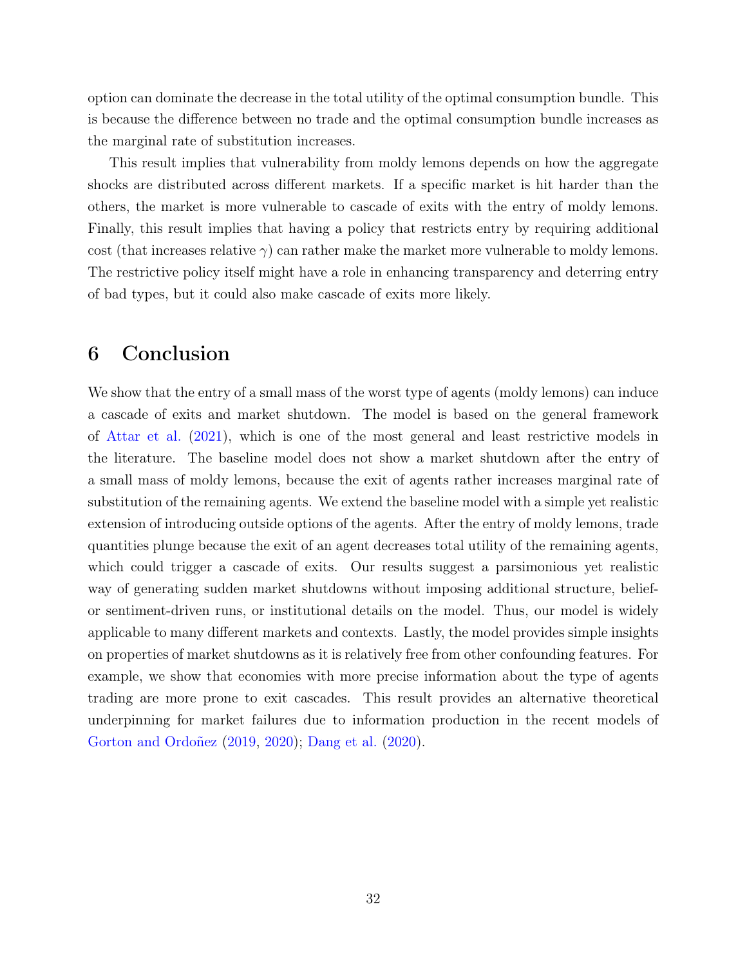option can dominate the decrease in the total utility of the optimal consumption bundle. This is because the difference between no trade and the optimal consumption bundle increases as the marginal rate of substitution increases.

This result implies that vulnerability from moldy lemons depends on how the aggregate shocks are distributed across different markets. If a specific market is hit harder than the others, the market is more vulnerable to cascade of exits with the entry of moldy lemons. Finally, this result implies that having a policy that restricts entry by requiring additional cost (that increases relative  $\gamma$ ) can rather make the market more vulnerable to moldy lemons. The restrictive policy itself might have a role in enhancing transparency and deterring entry of bad types, but it could also make cascade of exits more likely.

# 6 Conclusion

We show that the entry of a small mass of the worst type of agents (moldy lemons) can induce a cascade of exits and market shutdown. The model is based on the general framework of [Attar et al.](#page-34-2) [\(2021\)](#page-34-2), which is one of the most general and least restrictive models in the literature. The baseline model does not show a market shutdown after the entry of a small mass of moldy lemons, because the exit of agents rather increases marginal rate of substitution of the remaining agents. We extend the baseline model with a simple yet realistic extension of introducing outside options of the agents. After the entry of moldy lemons, trade quantities plunge because the exit of an agent decreases total utility of the remaining agents, which could trigger a cascade of exits. Our results suggest a parsimonious yet realistic way of generating sudden market shutdowns without imposing additional structure, beliefor sentiment-driven runs, or institutional details on the model. Thus, our model is widely applicable to many different markets and contexts. Lastly, the model provides simple insights on properties of market shutdowns as it is relatively free from other confounding features. For example, we show that economies with more precise information about the type of agents trading are more prone to exit cascades. This result provides an alternative theoretical underpinning for market failures due to information production in the recent models of [Gorton and Ordoñez](#page-35-6) [\(2019,](#page-35-6) [2020\)](#page-35-7); [Dang et al.](#page-35-3) [\(2020\)](#page-35-3).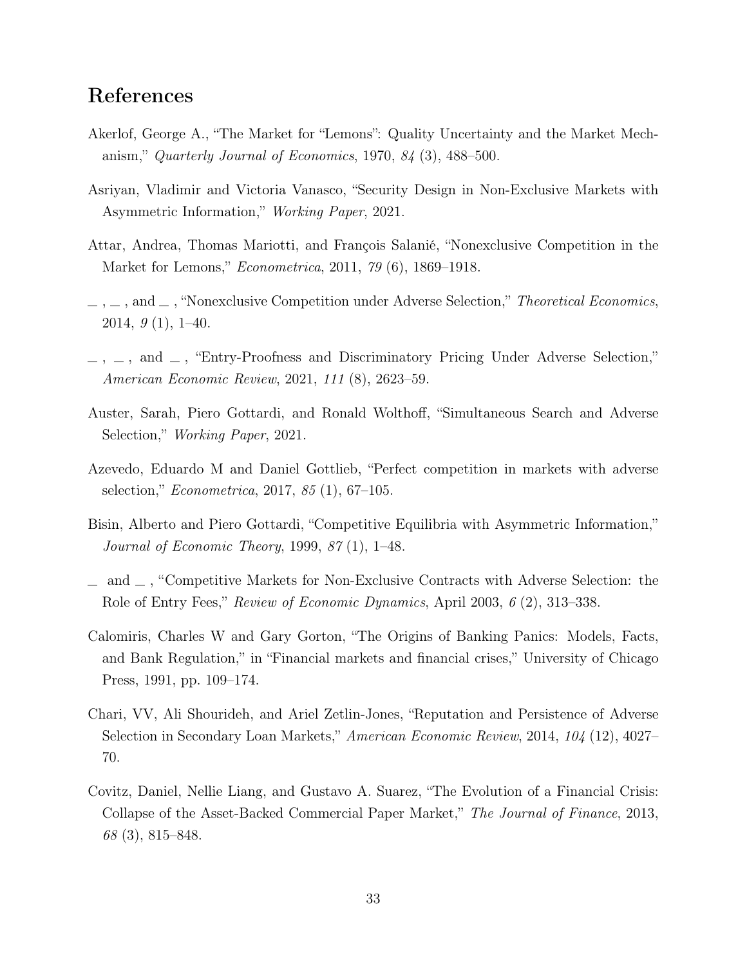# References

- <span id="page-34-4"></span>Akerlof, George A., "The Market for "Lemons": Quality Uncertainty and the Market Mechanism," Quarterly Journal of Economics, 1970,  $84$  (3), 488–500.
- <span id="page-34-10"></span>Asriyan, Vladimir and Victoria Vanasco, "Security Design in Non-Exclusive Markets with Asymmetric Information," Working Paper, 2021.
- <span id="page-34-8"></span>Attar, Andrea, Thomas Mariotti, and François Salanié, "Nonexclusive Competition in the Market for Lemons," Econometrica, 2011, 79 (6), 1869–1918.
- <span id="page-34-9"></span> $\ldots$ , and  $\ldots$ , "Nonexclusive Competition under Adverse Selection," Theoretical Economics, 2014,  $9(1)$ , 1-40.
- <span id="page-34-2"></span> $\ldots$ , and  $\ldots$ , "Entry-Proofness and Discriminatory Pricing Under Adverse Selection," American Economic Review, 2021, 111 (8), 2623–59.
- <span id="page-34-11"></span>Auster, Sarah, Piero Gottardi, and Ronald Wolthoff, "Simultaneous Search and Adverse Selection," Working Paper, 2021.
- <span id="page-34-5"></span>Azevedo, Eduardo M and Daniel Gottlieb, "Perfect competition in markets with adverse selection," Econometrica, 2017, 85 (1), 67–105.
- <span id="page-34-6"></span>Bisin, Alberto and Piero Gottardi, "Competitive Equilibria with Asymmetric Information," Journal of Economic Theory, 1999, 87 (1), 1–48.
- <span id="page-34-7"></span> $\Box$  and  $\Box$ , "Competitive Markets for Non-Exclusive Contracts with Adverse Selection: the Role of Entry Fees," Review of Economic Dynamics, April 2003, 6 (2), 313–338.
- <span id="page-34-0"></span>Calomiris, Charles W and Gary Gorton, "The Origins of Banking Panics: Models, Facts, and Bank Regulation," in "Financial markets and financial crises," University of Chicago Press, 1991, pp. 109–174.
- <span id="page-34-3"></span>Chari, VV, Ali Shourideh, and Ariel Zetlin-Jones, "Reputation and Persistence of Adverse Selection in Secondary Loan Markets," American Economic Review, 2014, 104 (12), 4027– 70.
- <span id="page-34-1"></span>Covitz, Daniel, Nellie Liang, and Gustavo A. Suarez, "The Evolution of a Financial Crisis: Collapse of the Asset-Backed Commercial Paper Market," The Journal of Finance, 2013, 68 (3), 815–848.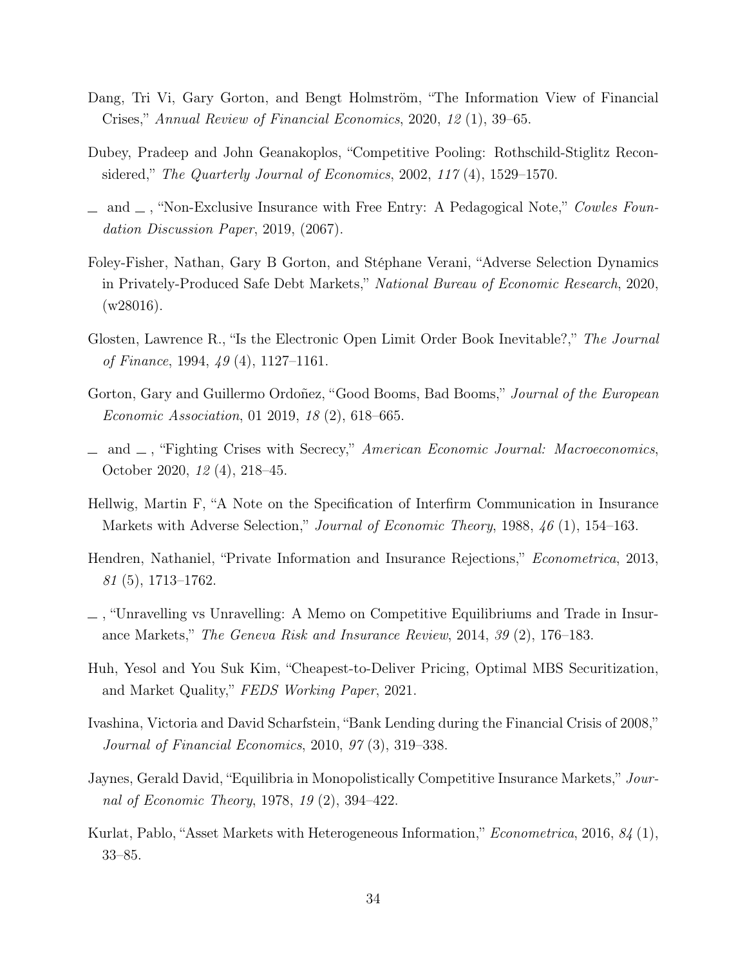- <span id="page-35-3"></span>Dang, Tri Vi, Gary Gorton, and Bengt Holmström, "The Information View of Financial Crises," Annual Review of Financial Economics, 2020, 12 (1), 39–65.
- <span id="page-35-12"></span>Dubey, Pradeep and John Geanakoplos, "Competitive Pooling: Rothschild-Stiglitz Reconsidered," The Quarterly Journal of Economics, 2002, 117 (4), 1529–1570.
- <span id="page-35-2"></span> $\Box$  and  $\Box$ , "Non-Exclusive Insurance with Free Entry: A Pedagogical Note," Cowles Foundation Discussion Paper, 2019, (2067).
- <span id="page-35-1"></span>Foley-Fisher, Nathan, Gary B Gorton, and Stéphane Verani, "Adverse Selection Dynamics in Privately-Produced Safe Debt Markets," National Bureau of Economic Research, 2020, (w28016).
- <span id="page-35-10"></span>Glosten, Lawrence R., "Is the Electronic Open Limit Order Book Inevitable?," The Journal of Finance, 1994, 49 (4), 1127–1161.
- <span id="page-35-6"></span>Gorton, Gary and Guillermo Ordoñez, "Good Booms, Bad Booms," Journal of the European Economic Association, 01 2019, 18 (2), 618–665.
- <span id="page-35-7"></span> $\Box$  and  $\Box$ , "Fighting Crises with Secrecy," American Economic Journal: Macroeconomics, October 2020, 12 (4), 218–45.
- <span id="page-35-9"></span>Hellwig, Martin F, "A Note on the Specification of Interfirm Communication in Insurance Markets with Adverse Selection," Journal of Economic Theory, 1988, 46 (1), 154–163.
- <span id="page-35-4"></span>Hendren, Nathaniel, "Private Information and Insurance Rejections," Econometrica, 2013, 81 (5), 1713–1762.
- <span id="page-35-5"></span>, "Unravelling vs Unravelling: A Memo on Competitive Equilibriums and Trade in Insurance Markets," The Geneva Risk and Insurance Review, 2014, 39 (2), 176–183.
- <span id="page-35-13"></span>Huh, Yesol and You Suk Kim, "Cheapest-to-Deliver Pricing, Optimal MBS Securitization, and Market Quality," FEDS Working Paper, 2021.
- <span id="page-35-0"></span>Ivashina, Victoria and David Scharfstein, "Bank Lending during the Financial Crisis of 2008," Journal of Financial Economics, 2010, 97 (3), 319–338.
- <span id="page-35-8"></span>Jaynes, Gerald David, "Equilibria in Monopolistically Competitive Insurance Markets," Journal of Economic Theory, 1978, 19 (2), 394–422.
- <span id="page-35-11"></span>Kurlat, Pablo, "Asset Markets with Heterogeneous Information," Econometrica, 2016, 84 (1), 33–85.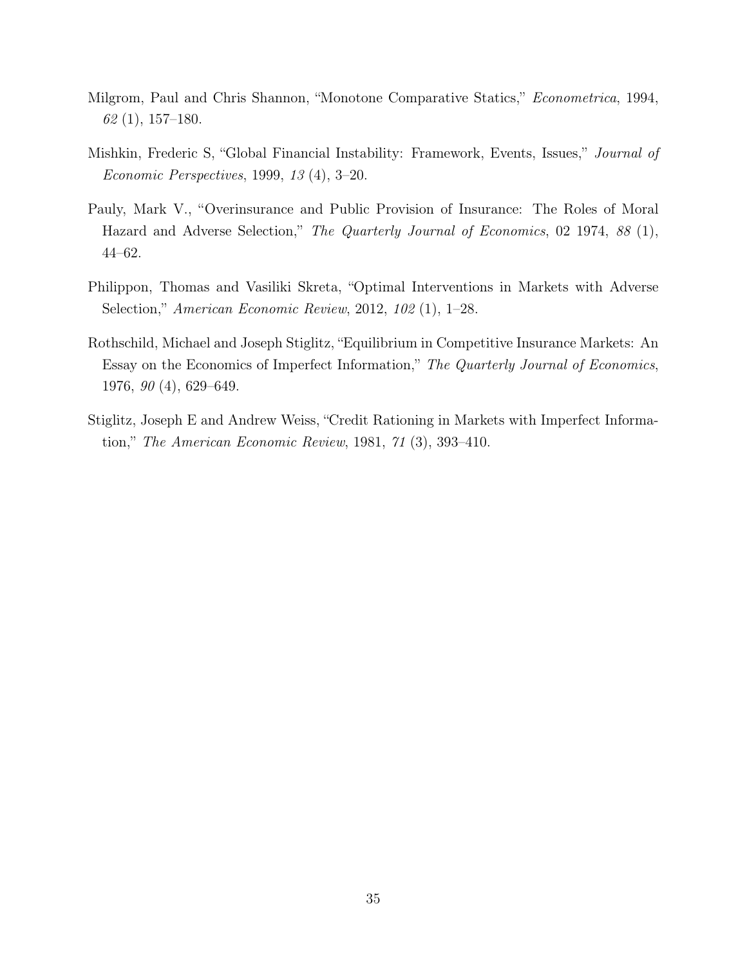- <span id="page-36-4"></span>Milgrom, Paul and Chris Shannon, "Monotone Comparative Statics," Econometrica, 1994, 62 (1), 157–180.
- <span id="page-36-0"></span>Mishkin, Frederic S, "Global Financial Instability: Framework, Events, Issues," Journal of Economic Perspectives, 1999, 13 (4), 3–20.
- <span id="page-36-2"></span>Pauly, Mark V., "Overinsurance and Public Provision of Insurance: The Roles of Moral Hazard and Adverse Selection," The Quarterly Journal of Economics, 02 1974, 88 (1), 44–62.
- <span id="page-36-3"></span>Philippon, Thomas and Vasiliki Skreta, "Optimal Interventions in Markets with Adverse Selection," American Economic Review, 2012, 102 (1), 1–28.
- <span id="page-36-1"></span>Rothschild, Michael and Joseph Stiglitz, "Equilibrium in Competitive Insurance Markets: An Essay on the Economics of Imperfect Information," The Quarterly Journal of Economics, 1976, 90 (4), 629–649.
- <span id="page-36-5"></span>Stiglitz, Joseph E and Andrew Weiss, "Credit Rationing in Markets with Imperfect Information," The American Economic Review, 1981, 71 (3), 393–410.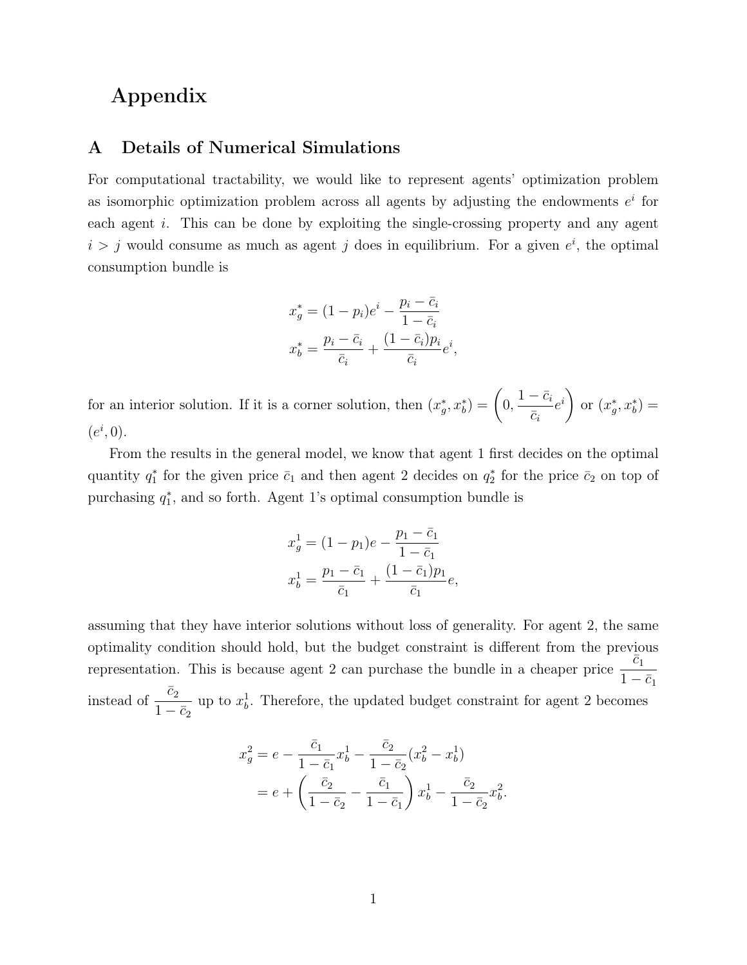# Appendix

### A Details of Numerical Simulations

For computational tractability, we would like to represent agents' optimization problem as isomorphic optimization problem across all agents by adjusting the endowments  $e^i$  for each agent i. This can be done by exploiting the single-crossing property and any agent  $i > j$  would consume as much as agent j does in equilibrium. For a given  $e^i$ , the optimal consumption bundle is

$$
x_g^* = (1 - p_i)e^i - \frac{p_i - \bar{c}_i}{1 - \bar{c}_i}
$$

$$
x_b^* = \frac{p_i - \bar{c}_i}{\bar{c}_i} + \frac{(1 - \bar{c}_i)p_i}{\bar{c}_i}e^i,
$$

for an interior solution. If it is a corner solution, then  $(x_g^*, x_b^*) = \left(0, \frac{1-\bar{c}_i}{\bar{c}_i}\right)$  $\bar{c}_i$  $e^{i}$ or  $(x_g^*, x_b^*) =$  $(e^i, 0).$ 

From the results in the general model, we know that agent 1 first decides on the optimal quantity  $q_1^*$  for the given price  $\bar{c}_1$  and then agent 2 decides on  $q_2^*$  for the price  $\bar{c}_2$  on top of purchasing  $q_1^*$ , and so forth. Agent 1's optimal consumption bundle is

$$
x_g^1 = (1 - p_1)e - \frac{p_1 - \bar{c}_1}{1 - \bar{c}_1}
$$

$$
x_b^1 = \frac{p_1 - \bar{c}_1}{\bar{c}_1} + \frac{(1 - \bar{c}_1)p_1}{\bar{c}_1}e,
$$

assuming that they have interior solutions without loss of generality. For agent 2, the same optimality condition should hold, but the budget constraint is different from the previous representation. This is because agent 2 can purchase the bundle in a cheaper price  $\frac{\bar{c}_1}{1}$  $1-\bar{c}_1$ instead of  $\frac{\bar{c}_2}{1}$  $1-\bar{c}_2$ up to  $x_b^1$ . Therefore, the updated budget constraint for agent 2 becomes

$$
x_g^2 = e - \frac{\bar{c}_1}{1 - \bar{c}_1} x_b^1 - \frac{\bar{c}_2}{1 - \bar{c}_2} (x_b^2 - x_b^1)
$$
  
= 
$$
e + \left(\frac{\bar{c}_2}{1 - \bar{c}_2} - \frac{\bar{c}_1}{1 - \bar{c}_1}\right) x_b^1 - \frac{\bar{c}_2}{1 - \bar{c}_2} x_b^2
$$

.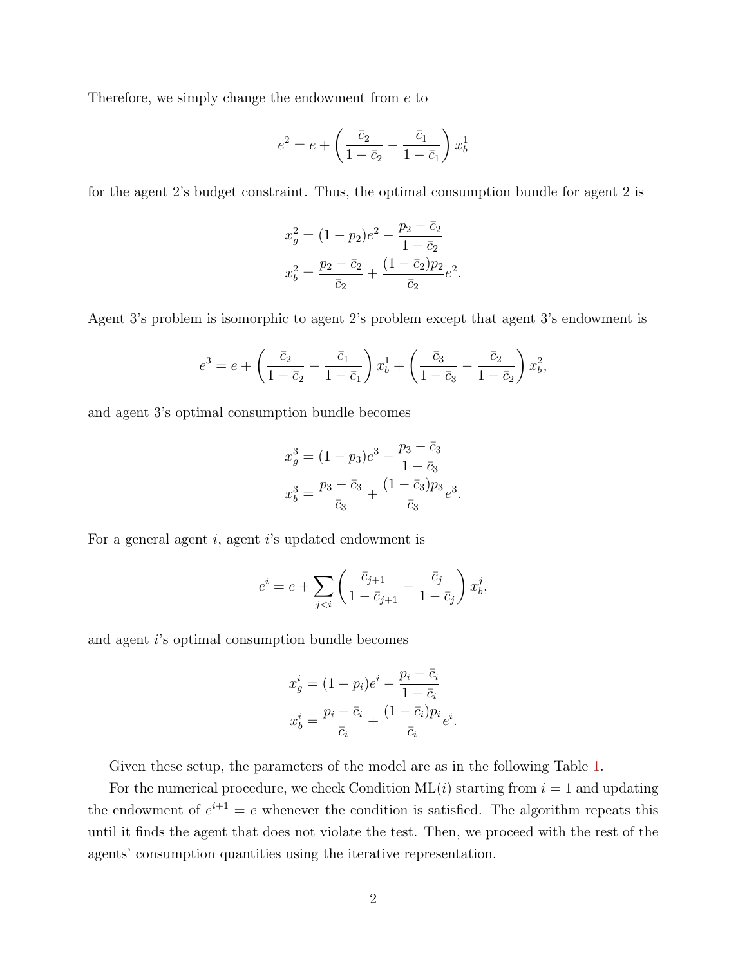Therefore, we simply change the endowment from e to

$$
e^2 = e + \left(\frac{\bar{c}_2}{1 - \bar{c}_2} - \frac{\bar{c}_1}{1 - \bar{c}_1}\right) x_b^1
$$

for the agent 2's budget constraint. Thus, the optimal consumption bundle for agent 2 is

$$
x_g^2 = (1 - p_2)e^2 - \frac{p_2 - \bar{c}_2}{1 - \bar{c}_2}
$$

$$
x_b^2 = \frac{p_2 - \bar{c}_2}{\bar{c}_2} + \frac{(1 - \bar{c}_2)p_2}{\bar{c}_2}e^2
$$

.

Agent 3's problem is isomorphic to agent 2's problem except that agent 3's endowment is

$$
e^{3} = e + \left(\frac{\bar{c}_{2}}{1 - \bar{c}_{2}} - \frac{\bar{c}_{1}}{1 - \bar{c}_{1}}\right) x_{b}^{1} + \left(\frac{\bar{c}_{3}}{1 - \bar{c}_{3}} - \frac{\bar{c}_{2}}{1 - \bar{c}_{2}}\right) x_{b}^{2},
$$

and agent 3's optimal consumption bundle becomes

$$
x_g^3 = (1 - p_3)e^3 - \frac{p_3 - \bar{c}_3}{1 - \bar{c}_3}
$$
  

$$
x_b^3 = \frac{p_3 - \bar{c}_3}{\bar{c}_3} + \frac{(1 - \bar{c}_3)p_3}{\bar{c}_3}e^3.
$$

For a general agent  $i$ , agent  $i$ 's updated endowment is

$$
e^{i} = e + \sum_{j < i} \left( \frac{\bar{c}_{j+1}}{1 - \bar{c}_{j+1}} - \frac{\bar{c}_{j}}{1 - \bar{c}_{j}} \right) x_{b}^{j},
$$

and agent i's optimal consumption bundle becomes

$$
x_g^i = (1 - p_i)e^i - \frac{p_i - \bar{c}_i}{1 - \bar{c}_i}
$$

$$
x_b^i = \frac{p_i - \bar{c}_i}{\bar{c}_i} + \frac{(1 - \bar{c}_i)p_i}{\bar{c}_i}e^i.
$$

Given these setup, the parameters of the model are as in the following Table [1.](#page-39-0)

For the numerical procedure, we check Condition  $ML(i)$  starting from  $i = 1$  and updating the endowment of  $e^{i+1} = e$  whenever the condition is satisfied. The algorithm repeats this until it finds the agent that does not violate the test. Then, we proceed with the rest of the agents' consumption quantities using the iterative representation.